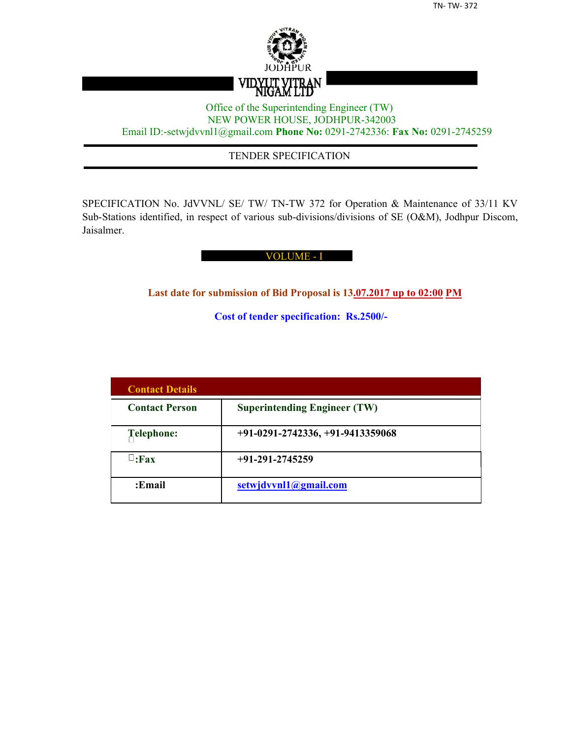

## Office of the Superintending Engineer (TW) NEW POWER HOUSE, JODHPUR-342003 Email ID:-setwjdvvnl1@gmail.com **Phone No:** 0291-2742336: **Fax No:** 0291-2745259

## TENDER SPECIFICATION

SPECIFICATION No. JdVVNL/ SE/ TW/ TN-TW 372 for Operation & Maintenance of 33/11 KV Sub-Stations identified, in respect of various sub-divisions/divisions of SE (O&M), Jodhpur Discom, Jaisalmer.

#### VOLUME - I

**Last date for submission of Bid Proposal is 13.07.2017 up to 02:00 PM**

**Cost of tender specification: Rs.2500/-**

| <b>Contact Details</b> |                                     |
|------------------------|-------------------------------------|
| <b>Contact Person</b>  | <b>Superintending Engineer (TW)</b> |
| Telephone:             | $+91-0291-2742336, +91-9413359068$  |
| $\sqcup$ :Fax          | $+91-291-2745259$                   |
| :Email                 | setwjdvvnl1@gmail.com               |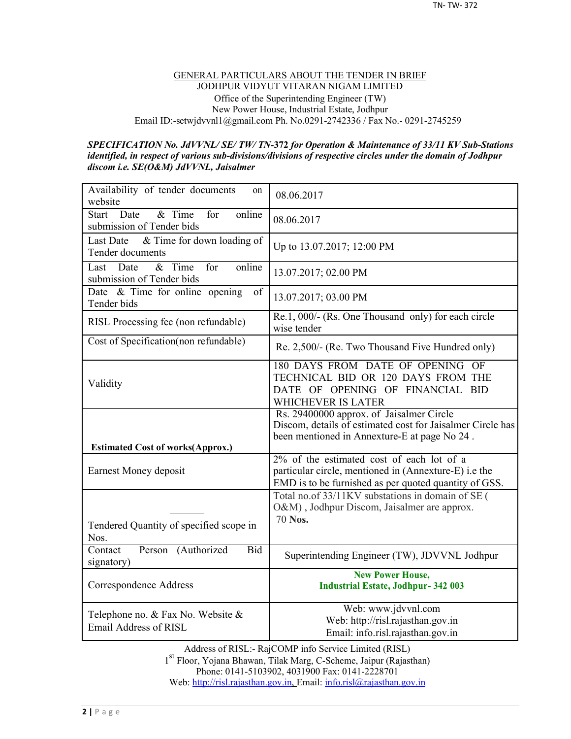#### GENERAL PARTICULARS ABOUT THE TENDER IN BRIEF JODHPUR VIDYUT VITARAN NIGAM LIMITED Office of the Superintending Engineer (TW) New Power House, Industrial Estate, Jodhpur Email ID:-setwjdvvnl1@gmail.com Ph. No.0291-2742336 / Fax No.- 0291-2745259

#### *SPECIFICATION No. JdVVNL/ SE/ TW/ TN-***372** *for Operation & Maintenance of 33/11 KV Sub-Stations identified, in respect of various sub-divisions/divisions of respective circles under the domain of Jodhpur discom i.e. SE(O&M) JdVVNL, Jaisalmer*

| Availability of tender documents<br>on<br>website                                  | 08.06.2017                                                                                                                                                  |
|------------------------------------------------------------------------------------|-------------------------------------------------------------------------------------------------------------------------------------------------------------|
| Date<br>& Time<br>online<br><b>Start</b><br>for<br>submission of Tender bids       | 08.06.2017                                                                                                                                                  |
| & Time for down loading of<br><b>Last Date</b><br>Tender documents                 | Up to 13.07.2017; 12:00 PM                                                                                                                                  |
| $\overline{\&}$ Time<br>for<br>online<br>Date<br>Last<br>submission of Tender bids | 13.07.2017; 02.00 PM                                                                                                                                        |
| Date & Time for online opening<br>of<br>Tender bids                                | 13.07.2017; 03.00 PM                                                                                                                                        |
| RISL Processing fee (non refundable)                                               | Re.1, 000/- (Rs. One Thousand only) for each circle<br>wise tender                                                                                          |
| Cost of Specification(non refundable)                                              | Re. 2,500/- (Re. Two Thousand Five Hundred only)                                                                                                            |
| Validity                                                                           | 180 DAYS FROM DATE OF OPENING OF<br>TECHNICAL BID OR 120 DAYS FROM THE<br>DATE OF OPENING OF FINANCIAL BID<br>WHICHEVER IS LATER                            |
|                                                                                    | Rs. 29400000 approx. of Jaisalmer Circle                                                                                                                    |
|                                                                                    | Discom, details of estimated cost for Jaisalmer Circle has<br>been mentioned in Annexture-E at page No 24.                                                  |
| <b>Estimated Cost of works (Approx.)</b><br>Earnest Money deposit                  | 2% of the estimated cost of each lot of a<br>particular circle, mentioned in (Annexture-E) i.e the<br>EMD is to be furnished as per quoted quantity of GSS. |
| Tendered Quantity of specified scope in<br>Nos.                                    | Total no.of 33/11KV substations in domain of SE (<br>O&M), Jodhpur Discom, Jaisalmer are approx.<br>70 Nos.                                                 |
| Contact<br>Person (Authorized<br><b>Bid</b><br>signatory)                          | Superintending Engineer (TW), JDVVNL Jodhpur                                                                                                                |
| Correspondence Address                                                             | <b>New Power House,</b><br><b>Industrial Estate, Jodhpur-342 003</b>                                                                                        |

Address of RISL:- RajCOMP info Service Limited (RISL) 1 st Floor, Yojana Bhawan, Tilak Marg, C-Scheme, Jaipur (Rajasthan) Phone: 0141-5103902, 4031900 Fax: 0141-2228701 Web: http://risl.rajasthan.gov.in, Email: info.risl@rajasthan.gov.in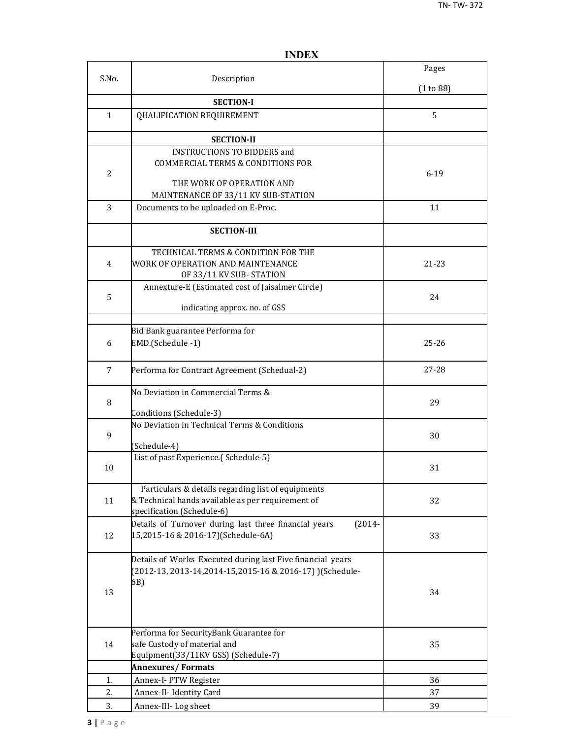|                |                                                                    | Pages     |
|----------------|--------------------------------------------------------------------|-----------|
| S.No.          | Description                                                        | (1 to 88) |
|                | <b>SECTION-I</b>                                                   |           |
| $\mathbf{1}$   | <b>QUALIFICATION REQUIREMENT</b>                                   | 5         |
|                |                                                                    |           |
|                | <b>SECTION-II</b>                                                  |           |
|                | <b>INSTRUCTIONS TO BIDDERS and</b>                                 |           |
|                | <b>COMMERCIAL TERMS &amp; CONDITIONS FOR</b>                       |           |
| $\overline{2}$ |                                                                    | $6 - 19$  |
|                | THE WORK OF OPERATION AND                                          |           |
|                | MAINTENANCE OF 33/11 KV SUB-STATION                                |           |
| 3              | Documents to be uploaded on E-Proc.                                | 11        |
|                | <b>SECTION-III</b>                                                 |           |
|                | TECHNICAL TERMS & CONDITION FOR THE                                |           |
| $\overline{4}$ | WORK OF OPERATION AND MAINTENANCE                                  | 21-23     |
|                | OF 33/11 KV SUB-STATION                                            |           |
|                | Annexture-E (Estimated cost of Jaisalmer Circle)                   |           |
| 5              |                                                                    | 24        |
|                | indicating approx. no. of GSS                                      |           |
|                |                                                                    |           |
|                | Bid Bank guarantee Performa for                                    |           |
| 6              | EMD.(Schedule -1)                                                  | $25 - 26$ |
| 7              | Performa for Contract Agreement (Schedual-2)                       | $27 - 28$ |
|                | No Deviation in Commercial Terms &                                 |           |
| 8              |                                                                    | 29        |
|                | Conditions (Schedule-3)                                            |           |
| 9              | No Deviation in Technical Terms & Conditions                       | 30        |
|                | (Schedule-4)                                                       |           |
|                | List of past Experience.(Schedule-5)                               |           |
| 10             |                                                                    | 31        |
|                | Particulars & details regarding list of equipments                 |           |
| 11             | & Technical hands available as per requirement of                  | 32        |
|                | specification (Schedule-6)                                         |           |
|                | Details of Turnover during last three financial years<br>$(2014 -$ |           |
| 12             | 15,2015-16 & 2016-17)(Schedule-6A)                                 | 33        |
|                | Details of Works Executed during last Five financial years         |           |
|                | (2012-13, 2013-14, 2014-15, 2015-16 & 2016-17) ) (Schedule-        |           |
|                | 6B)                                                                |           |
| 13             |                                                                    | 34        |
|                |                                                                    |           |
|                |                                                                    |           |
|                | Performa for SecurityBank Guarantee for                            |           |
| 14             | safe Custody of material and                                       | 35        |
|                | Equipment(33/11KV GSS) (Schedule-7)                                |           |
|                | <b>Annexures/Formats</b>                                           |           |
| 1.             | Annex-I-PTW Register                                               | 36        |
| 2.             | Annex-II- Identity Card                                            | 37        |
| 3.             | Annex-III-Log sheet                                                | 39        |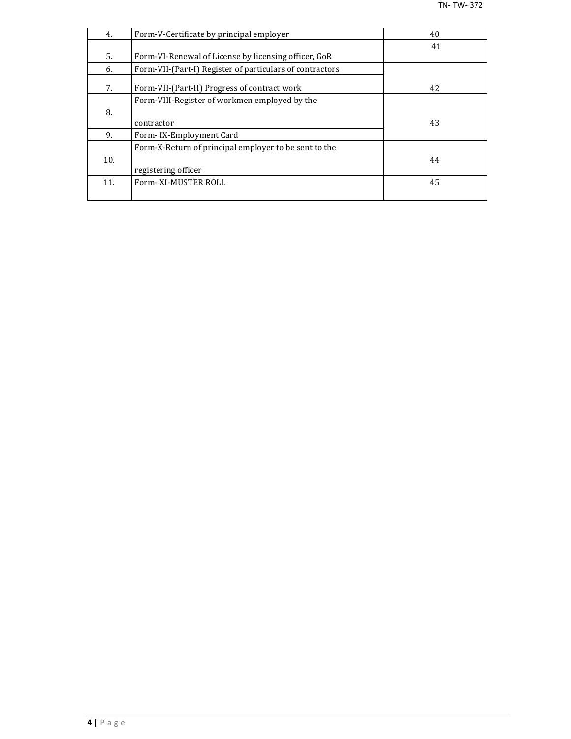| 4.  | Form-V-Certificate by principal employer                 | 40 |
|-----|----------------------------------------------------------|----|
|     |                                                          | 41 |
| 5.  | Form-VI-Renewal of License by licensing officer, GoR     |    |
| 6.  | Form-VII-(Part-I) Register of particulars of contractors |    |
| 7.  | Form-VII-(Part-II) Progress of contract work             | 42 |
|     | Form-VIII-Register of workmen employed by the            |    |
| 8.  |                                                          |    |
|     | contractor                                               | 43 |
| 9.  | Form-IX-Employment Card                                  |    |
|     | Form-X-Return of principal employer to be sent to the    |    |
| 10. |                                                          | 44 |
|     | registering officer                                      |    |
| 11. | Form-XI-MUSTER ROLL                                      | 45 |
|     |                                                          |    |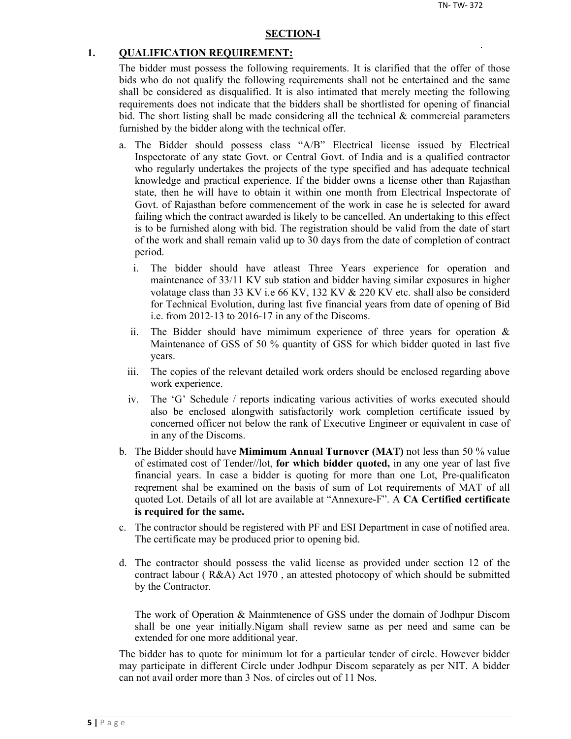#### **SECTION-I**

#### **1. QUALIFICATION REQUIREMENT:**

The bidder must possess the following requirements. It is clarified that the offer of those bids who do not qualify the following requirements shall not be entertained and the same shall be considered as disqualified. It is also intimated that merely meeting the following requirements does not indicate that the bidders shall be shortlisted for opening of financial bid. The short listing shall be made considering all the technical  $\&$  commercial parameters furnished by the bidder along with the technical offer.

- a. The Bidder should possess class "A/B" Electrical license issued by Electrical Inspectorate of any state Govt. or Central Govt. of India and is a qualified contractor who regularly undertakes the projects of the type specified and has adequate technical knowledge and practical experience. If the bidder owns a license other than Rajasthan state, then he will have to obtain it within one month from Electrical Inspectorate of Govt. of Rajasthan before commencement of the work in case he is selected for award failing which the contract awarded is likely to be cancelled. An undertaking to this effect is to be furnished along with bid. The registration should be valid from the date of start of the work and shall remain valid up to 30 days from the date of completion of contract period.
	- i. The bidder should have atleast Three Years experience for operation and maintenance of 33/11 KV sub station and bidder having similar exposures in higher volatage class than 33 KV i.e 66 KV, 132 KV & 220 KV etc. shall also be considerd for Technical Evolution, during last five financial years from date of opening of Bid i.e. from 2012-13 to 2016-17 in any of the Discoms.
	- ii. The Bidder should have mimimum experience of three years for operation  $\&$ Maintenance of GSS of 50 % quantity of GSS for which bidder quoted in last five years.
	- iii. The copies of the relevant detailed work orders should be enclosed regarding above work experience.
	- iv. The 'G' Schedule / reports indicating various activities of works executed should also be enclosed alongwith satisfactorily work completion certificate issued by concerned officer not below the rank of Executive Engineer or equivalent in case of in any of the Discoms.
- b. The Bidder should have **Mimimum Annual Turnover (MAT)** not less than 50 % value of estimated cost of Tender//lot, **for which bidder quoted,** in any one year of last five financial years. In case a bidder is quoting for more than one Lot, Pre-qualificaton reqrement shal be examined on the basis of sum of Lot requirements of MAT of all quoted Lot. Details of all lot are available at "Annexure-F". A **CA Certified certificate is required for the same.**
- c. The contractor should be registered with PF and ESI Department in case of notified area. The certificate may be produced prior to opening bid.
- d. The contractor should possess the valid license as provided under section 12 of the contract labour ( R&A) Act 1970 , an attested photocopy of which should be submitted by the Contractor.

The work of Operation & Mainmtenence of GSS under the domain of Jodhpur Discom shall be one year initially.Nigam shall review same as per need and same can be extended for one more additional year.

The bidder has to quote for minimum lot for a particular tender of circle. However bidder may participate in different Circle under Jodhpur Discom separately as per NIT. A bidder can not avail order more than 3 Nos. of circles out of 11 Nos.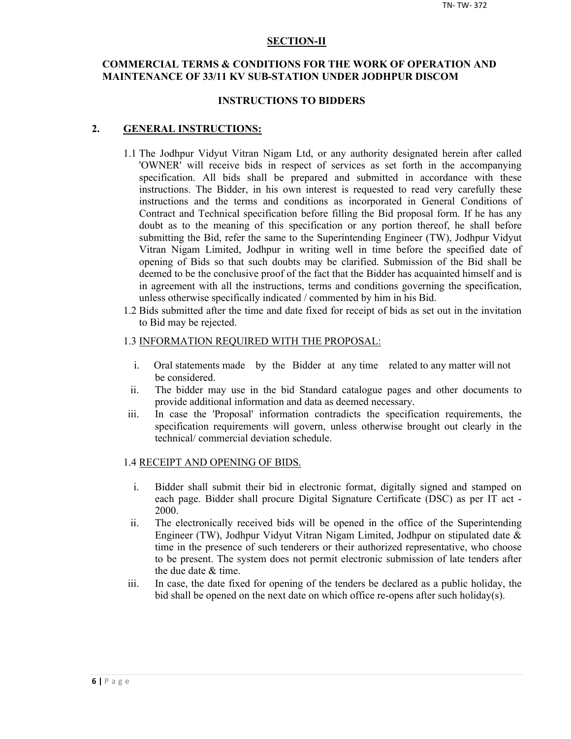#### **SECTION-II**

## **COMMERCIAL TERMS & CONDITIONS FOR THE WORK OF OPERATION AND MAINTENANCE OF 33/11 KV SUB-STATION UNDER JODHPUR DISCOM**

#### **INSTRUCTIONS TO BIDDERS**

#### **2. GENERAL INSTRUCTIONS:**

- 1.1 The Jodhpur Vidyut Vitran Nigam Ltd, or any authority designated herein after called 'OWNER' will receive bids in respect of services as set forth in the accompanying specification. All bids shall be prepared and submitted in accordance with these instructions. The Bidder, in his own interest is requested to read very carefully these instructions and the terms and conditions as incorporated in General Conditions of Contract and Technical specification before filling the Bid proposal form. If he has any doubt as to the meaning of this specification or any portion thereof, he shall before submitting the Bid, refer the same to the Superintending Engineer (TW), Jodhpur Vidyut Vitran Nigam Limited, Jodhpur in writing well in time before the specified date of opening of Bids so that such doubts may be clarified. Submission of the Bid shall be deemed to be the conclusive proof of the fact that the Bidder has acquainted himself and is in agreement with all the instructions, terms and conditions governing the specification, unless otherwise specifically indicated / commented by him in his Bid.
- 1.2 Bids submitted after the time and date fixed for receipt of bids as set out in the invitation to Bid may be rejected.

#### 1.3 INFORMATION REQUIRED WITH THE PROPOSAL:

- i. Oral statements made by the Bidder at any time related to any matter will not be considered.
- ii. The bidder may use in the bid Standard catalogue pages and other documents to provide additional information and data as deemed necessary.
- iii. In case the 'Proposal' information contradicts the specification requirements, the specification requirements will govern, unless otherwise brought out clearly in the technical/ commercial deviation schedule.

#### 1.4 RECEIPT AND OPENING OF BIDS.

- i. Bidder shall submit their bid in electronic format, digitally signed and stamped on each page. Bidder shall procure Digital Signature Certificate (DSC) as per IT act - 2000.
- ii. The electronically received bids will be opened in the office of the Superintending Engineer (TW), Jodhpur Vidyut Vitran Nigam Limited, Jodhpur on stipulated date & time in the presence of such tenderers or their authorized representative, who choose to be present. The system does not permit electronic submission of late tenders after the due date & time.
- iii. In case, the date fixed for opening of the tenders be declared as a public holiday, the bid shall be opened on the next date on which office re-opens after such holiday(s).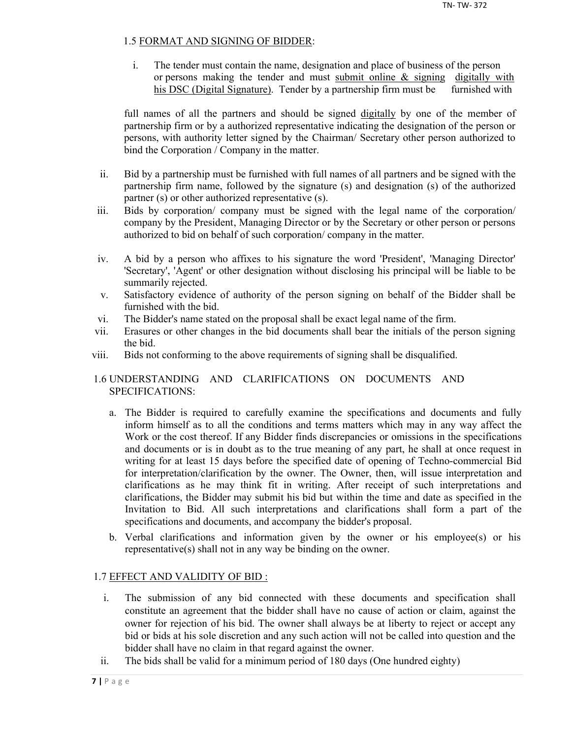## 1.5 FORMAT AND SIGNING OF BIDDER:

i. The tender must contain the name, designation and place of business of the person or persons making the tender and must submit online  $\&$  signing digitally with his DSC (Digital Signature). Tender by a partnership firm must be furnished with

full names of all the partners and should be signed digitally by one of the member of partnership firm or by a authorized representative indicating the designation of the person or persons, with authority letter signed by the Chairman/ Secretary other person authorized to bind the Corporation / Company in the matter.

- ii. Bid by a partnership must be furnished with full names of all partners and be signed with the partnership firm name, followed by the signature (s) and designation (s) of the authorized partner (s) or other authorized representative (s).
- iii. Bids by corporation/ company must be signed with the legal name of the corporation/ company by the President, Managing Director or by the Secretary or other person or persons authorized to bid on behalf of such corporation/ company in the matter.
- iv. A bid by a person who affixes to his signature the word 'President', 'Managing Director' 'Secretary', 'Agent' or other designation without disclosing his principal will be liable to be summarily rejected.
- v. Satisfactory evidence of authority of the person signing on behalf of the Bidder shall be furnished with the bid.
- vi. The Bidder's name stated on the proposal shall be exact legal name of the firm.
- vii. Erasures or other changes in the bid documents shall bear the initials of the person signing the bid.
- viii. Bids not conforming to the above requirements of signing shall be disqualified.

## 1.6 UNDERSTANDING AND CLARIFICATIONS ON DOCUMENTS AND SPECIFICATIONS:

- a. The Bidder is required to carefully examine the specifications and documents and fully inform himself as to all the conditions and terms matters which may in any way affect the Work or the cost thereof. If any Bidder finds discrepancies or omissions in the specifications and documents or is in doubt as to the true meaning of any part, he shall at once request in writing for at least 15 days before the specified date of opening of Techno-commercial Bid for interpretation/clarification by the owner. The Owner, then, will issue interpretation and clarifications as he may think fit in writing. After receipt of such interpretations and clarifications, the Bidder may submit his bid but within the time and date as specified in the Invitation to Bid. All such interpretations and clarifications shall form a part of the specifications and documents, and accompany the bidder's proposal.
- b. Verbal clarifications and information given by the owner or his employee(s) or his representative(s) shall not in any way be binding on the owner.

## 1.7 EFFECT AND VALIDITY OF BID :

- i. The submission of any bid connected with these documents and specification shall constitute an agreement that the bidder shall have no cause of action or claim, against the owner for rejection of his bid. The owner shall always be at liberty to reject or accept any bid or bids at his sole discretion and any such action will not be called into question and the bidder shall have no claim in that regard against the owner.
- ii. The bids shall be valid for a minimum period of 180 days (One hundred eighty)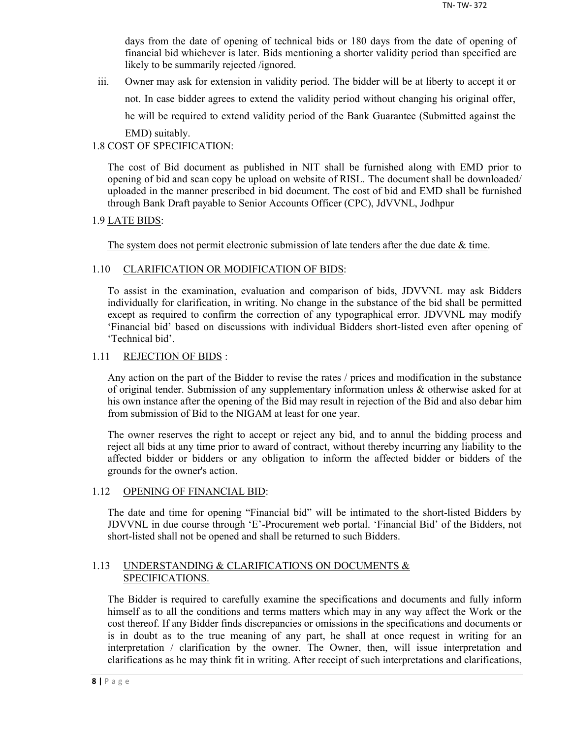days from the date of opening of technical bids or 180 days from the date of opening of financial bid whichever is later. Bids mentioning a shorter validity period than specified are likely to be summarily rejected /ignored.

iii. Owner may ask for extension in validity period. The bidder will be at liberty to accept it or not. In case bidder agrees to extend the validity period without changing his original offer, he will be required to extend validity period of the Bank Guarantee (Submitted against the EMD) suitably.

## 1.8 COST OF SPECIFICATION:

The cost of Bid document as published in NIT shall be furnished along with EMD prior to opening of bid and scan copy be upload on website of RISL. The document shall be downloaded/ uploaded in the manner prescribed in bid document. The cost of bid and EMD shall be furnished through Bank Draft payable to Senior Accounts Officer (CPC), JdVVNL, Jodhpur

## 1.9 LATE BIDS:

The system does not permit electronic submission of late tenders after the due date  $\&$  time.

## 1.10 CLARIFICATION OR MODIFICATION OF BIDS:

To assist in the examination, evaluation and comparison of bids, JDVVNL may ask Bidders individually for clarification, in writing. No change in the substance of the bid shall be permitted except as required to confirm the correction of any typographical error. JDVVNL may modify 'Financial bid' based on discussions with individual Bidders short-listed even after opening of 'Technical bid'.

## 1.11 REJECTION OF BIDS :

Any action on the part of the Bidder to revise the rates / prices and modification in the substance of original tender. Submission of any supplementary information unless & otherwise asked for at his own instance after the opening of the Bid may result in rejection of the Bid and also debar him from submission of Bid to the NIGAM at least for one year.

The owner reserves the right to accept or reject any bid, and to annul the bidding process and reject all bids at any time prior to award of contract, without thereby incurring any liability to the affected bidder or bidders or any obligation to inform the affected bidder or bidders of the grounds for the owner's action.

### 1.12 OPENING OF FINANCIAL BID:

The date and time for opening "Financial bid" will be intimated to the short-listed Bidders by JDVVNL in due course through 'E'-Procurement web portal. 'Financial Bid' of the Bidders, not short-listed shall not be opened and shall be returned to such Bidders.

## 1.13 UNDERSTANDING & CLARIFICATIONS ON DOCUMENTS & SPECIFICATIONS.

The Bidder is required to carefully examine the specifications and documents and fully inform himself as to all the conditions and terms matters which may in any way affect the Work or the cost thereof. If any Bidder finds discrepancies or omissions in the specifications and documents or is in doubt as to the true meaning of any part, he shall at once request in writing for an interpretation / clarification by the owner. The Owner, then, will issue interpretation and clarifications as he may think fit in writing. After receipt of such interpretations and clarifications,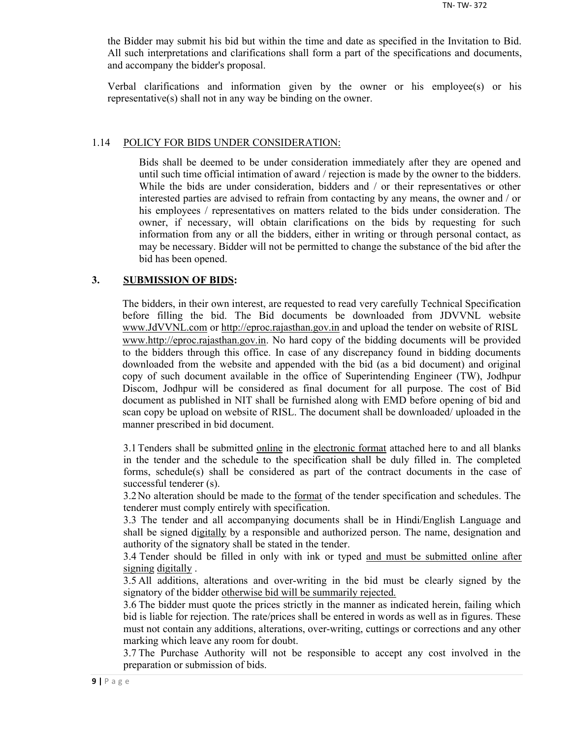the Bidder may submit his bid but within the time and date as specified in the Invitation to Bid. All such interpretations and clarifications shall form a part of the specifications and documents, and accompany the bidder's proposal.

Verbal clarifications and information given by the owner or his employee(s) or his representative(s) shall not in any way be binding on the owner.

#### 1.14 POLICY FOR BIDS UNDER CONSIDERATION:

Bids shall be deemed to be under consideration immediately after they are opened and until such time official intimation of award / rejection is made by the owner to the bidders. While the bids are under consideration, bidders and / or their representatives or other interested parties are advised to refrain from contacting by any means, the owner and / or his employees / representatives on matters related to the bids under consideration. The owner, if necessary, will obtain clarifications on the bids by requesting for such information from any or all the bidders, either in writing or through personal contact, as may be necessary. Bidder will not be permitted to change the substance of the bid after the bid has been opened.

#### **3. SUBMISSION OF BIDS:**

The bidders, in their own interest, are requested to read very carefully Technical Specification before filling the bid. The Bid documents be downloaded from JDVVNL website www.JdVVNL.com or http://eproc.rajasthan.gov.in and upload the tender on website of RISL www.http://eproc.rajasthan.gov.in. No hard copy of the bidding documents will be provided to the bidders through this office. In case of any discrepancy found in bidding documents downloaded from the website and appended with the bid (as a bid document) and original copy of such document available in the office of Superintending Engineer (TW), Jodhpur Discom, Jodhpur will be considered as final document for all purpose. The cost of Bid document as published in NIT shall be furnished along with EMD before opening of bid and scan copy be upload on website of RISL. The document shall be downloaded/ uploaded in the manner prescribed in bid document.

3.1 Tenders shall be submitted online in the electronic format attached here to and all blanks in the tender and the schedule to the specification shall be duly filled in. The completed forms, schedule(s) shall be considered as part of the contract documents in the case of successful tenderer (s).

3.2 No alteration should be made to the format of the tender specification and schedules. The tenderer must comply entirely with specification.

3.3 The tender and all accompanying documents shall be in Hindi/English Language and shall be signed digitally by a responsible and authorized person. The name, designation and authority of the signatory shall be stated in the tender.

3.4 Tender should be filled in only with ink or typed and must be submitted online after signing digitally .

3.5 All additions, alterations and over-writing in the bid must be clearly signed by the signatory of the bidder otherwise bid will be summarily rejected.

3.6 The bidder must quote the prices strictly in the manner as indicated herein, failing which bid is liable for rejection. The rate/prices shall be entered in words as well as in figures. These must not contain any additions, alterations, over-writing, cuttings or corrections and any other marking which leave any room for doubt.

3.7 The Purchase Authority will not be responsible to accept any cost involved in the preparation or submission of bids.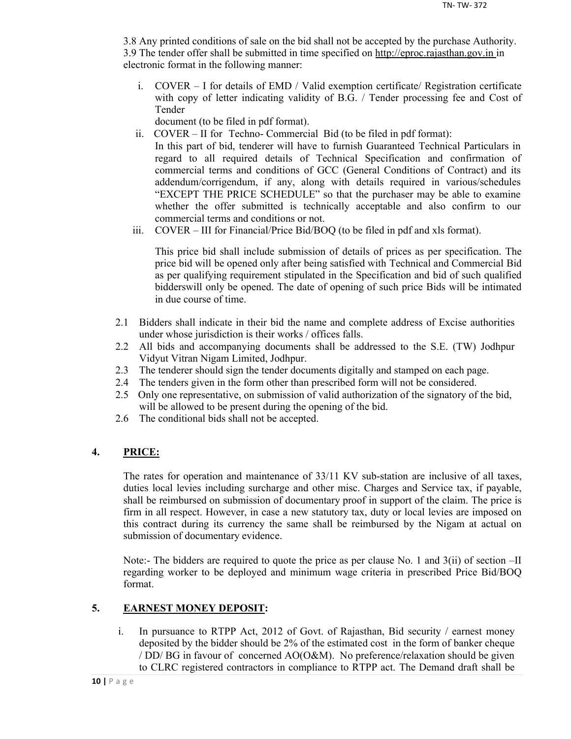3.8 Any printed conditions of sale on the bid shall not be accepted by the purchase Authority. 3.9 The tender offer shall be submitted in time specified on http://eproc.rajasthan.gov.in in electronic format in the following manner:

i. COVER – I for details of EMD / Valid exemption certificate/ Registration certificate with copy of letter indicating validity of B.G. / Tender processing fee and Cost of Tender

document (to be filed in pdf format).

- ii. COVER II for Techno- Commercial Bid (to be filed in pdf format): In this part of bid, tenderer will have to furnish Guaranteed Technical Particulars in regard to all required details of Technical Specification and confirmation of commercial terms and conditions of GCC (General Conditions of Contract) and its addendum/corrigendum, if any, along with details required in various/schedules "EXCEPT THE PRICE SCHEDULE" so that the purchaser may be able to examine whether the offer submitted is technically acceptable and also confirm to our commercial terms and conditions or not.
- iii. COVER III for Financial/Price Bid/BOQ (to be filed in pdf and xls format).

This price bid shall include submission of details of prices as per specification. The price bid will be opened only after being satisfied with Technical and Commercial Bid as per qualifying requirement stipulated in the Specification and bid of such qualified bidderswill only be opened. The date of opening of such price Bids will be intimated in due course of time.

- 2.1 Bidders shall indicate in their bid the name and complete address of Excise authorities under whose jurisdiction is their works / offices falls.
- 2.2 All bids and accompanying documents shall be addressed to the S.E. (TW) Jodhpur Vidyut Vitran Nigam Limited, Jodhpur.
- 2.3 The tenderer should sign the tender documents digitally and stamped on each page.
- 2.4 The tenders given in the form other than prescribed form will not be considered.
- 2.5 Only one representative, on submission of valid authorization of the signatory of the bid, will be allowed to be present during the opening of the bid.
- 2.6 The conditional bids shall not be accepted.

## **4. PRICE:**

The rates for operation and maintenance of 33/11 KV sub-station are inclusive of all taxes, duties local levies including surcharge and other misc. Charges and Service tax, if payable, shall be reimbursed on submission of documentary proof in support of the claim. The price is firm in all respect. However, in case a new statutory tax, duty or local levies are imposed on this contract during its currency the same shall be reimbursed by the Nigam at actual on submission of documentary evidence.

Note:- The bidders are required to quote the price as per clause No. 1 and 3(ii) of section –II regarding worker to be deployed and minimum wage criteria in prescribed Price Bid/BOQ format.

## **5. EARNEST MONEY DEPOSIT:**

i. In pursuance to RTPP Act, 2012 of Govt. of Rajasthan, Bid security / earnest money deposited by the bidder should be 2% of the estimated cost in the form of banker cheque / DD/ BG in favour of concerned AO(O&M). No preference/relaxation should be given to CLRC registered contractors in compliance to RTPP act. The Demand draft shall be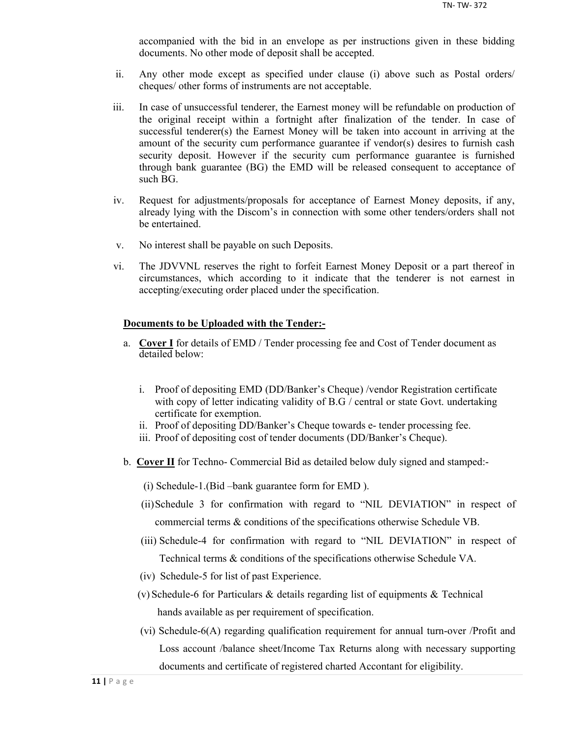accompanied with the bid in an envelope as per instructions given in these bidding documents. No other mode of deposit shall be accepted.

- ii. Any other mode except as specified under clause (i) above such as Postal orders/ cheques/ other forms of instruments are not acceptable.
- iii. In case of unsuccessful tenderer, the Earnest money will be refundable on production of the original receipt within a fortnight after finalization of the tender. In case of successful tenderer(s) the Earnest Money will be taken into account in arriving at the amount of the security cum performance guarantee if vendor(s) desires to furnish cash security deposit. However if the security cum performance guarantee is furnished through bank guarantee (BG) the EMD will be released consequent to acceptance of such BG.
- iv. Request for adjustments/proposals for acceptance of Earnest Money deposits, if any, already lying with the Discom's in connection with some other tenders/orders shall not be entertained.
- v. No interest shall be payable on such Deposits.
- vi. The JDVVNL reserves the right to forfeit Earnest Money Deposit or a part thereof in circumstances, which according to it indicate that the tenderer is not earnest in accepting/executing order placed under the specification.

#### **Documents to be Uploaded with the Tender:-**

- a. **Cover I** for details of EMD / Tender processing fee and Cost of Tender document as detailed below:
	- i. Proof of depositing EMD (DD/Banker's Cheque) /vendor Registration certificate with copy of letter indicating validity of B.G / central or state Govt. undertaking certificate for exemption.
	- ii. Proof of depositing DD/Banker's Cheque towards e- tender processing fee.
	- iii. Proof of depositing cost of tender documents (DD/Banker's Cheque).
- b. **Cover II** for Techno- Commercial Bid as detailed below duly signed and stamped:-
	- (i) Schedule-1.(Bid –bank guarantee form for EMD ).
	- (ii)Schedule 3 for confirmation with regard to "NIL DEVIATION" in respect of commercial terms & conditions of the specifications otherwise Schedule VB.
	- (iii) Schedule-4 for confirmation with regard to "NIL DEVIATION" in respect of Technical terms & conditions of the specifications otherwise Schedule VA.
	- (iv) Schedule-5 for list of past Experience.
	- (v) Schedule-6 for Particulars & details regarding list of equipments & Technical hands available as per requirement of specification.
	- (vi) Schedule-6(A) regarding qualification requirement for annual turn-over /Profit and Loss account /balance sheet/Income Tax Returns along with necessary supporting documents and certificate of registered charted Accontant for eligibility.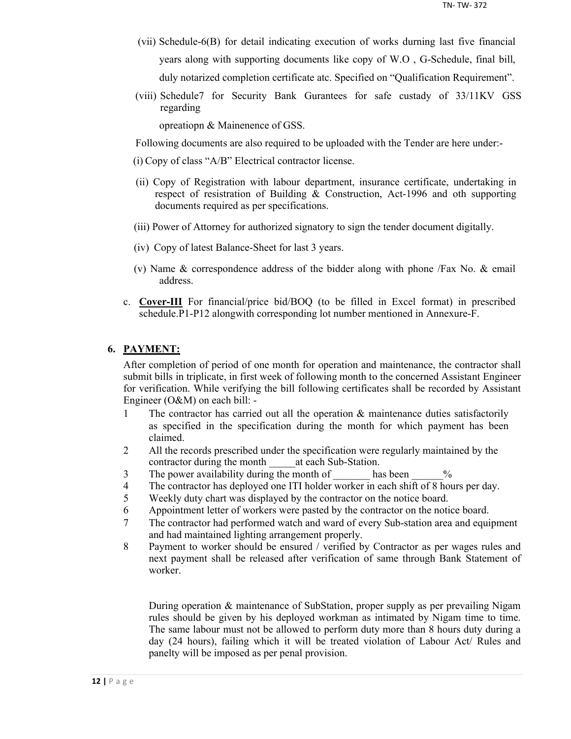- (vii) Schedule-6(B) for detail indicating execution of works durning last five financial years along with supporting documents like copy of W.O , G-Schedule, final bill, duly notarized completion certificate atc. Specified on "Qualification Requirement".
- (viii) Schedule7 for Security Bank Gurantees for safe custady of 33/11KV GSS regarding

opreatiopn & Mainenence of GSS.

Following documents are also required to be uploaded with the Tender are here under:-

- (i) Copy of class "A/B" Electrical contractor license.
- (ii) Copy of Registration with labour department, insurance certificate, undertaking in respect of resistration of Building & Construction, Act-1996 and oth supporting documents required as per specifications.
- (iii) Power of Attorney for authorized signatory to sign the tender document digitally.
- (iv) Copy of latest Balance-Sheet for last 3 years.
- (v) Name & correspondence address of the bidder along with phone /Fax No. & email address.
- c. **Cover-III** For financial/price bid/BOQ (to be filled in Excel format) in prescribed schedule.P1-P12 alongwith corresponding lot number mentioned in Annexure-F.

## **6. PAYMENT:**

After completion of period of one month for operation and maintenance, the contractor shall submit bills in triplicate, in first week of following month to the concerned Assistant Engineer for verification. While verifying the bill following certificates shall be recorded by Assistant Engineer (O&M) on each bill: -

- 1 The contractor has carried out all the operation & maintenance duties satisfactorily as specified in the specification during the month for which payment has been claimed.
- 2 All the records prescribed under the specification were regularly maintained by the contractor during the month at each Sub-Station.
- 3 The power availability during the month of has been  $\%$
- 4 The contractor has deployed one ITI holder worker in each shift of 8 hours per day.
- 5 Weekly duty chart was displayed by the contractor on the notice board.
- 6 Appointment letter of workers were pasted by the contractor on the notice board.
- 7 The contractor had performed watch and ward of every Sub-station area and equipment and had maintained lighting arrangement properly.
- 8 Payment to worker should be ensured / verified by Contractor as per wages rules and next payment shall be released after verification of same through Bank Statement of worker.

During operation & maintenance of SubStation, proper supply as per prevailing Nigam rules should be given by his deployed workman as intimated by Nigam time to time. The same labour must not be allowed to perform duty more than 8 hours duty during a day (24 hours), failing which it will be treated violation of Labour Act/ Rules and panelty will be imposed as per penal provision.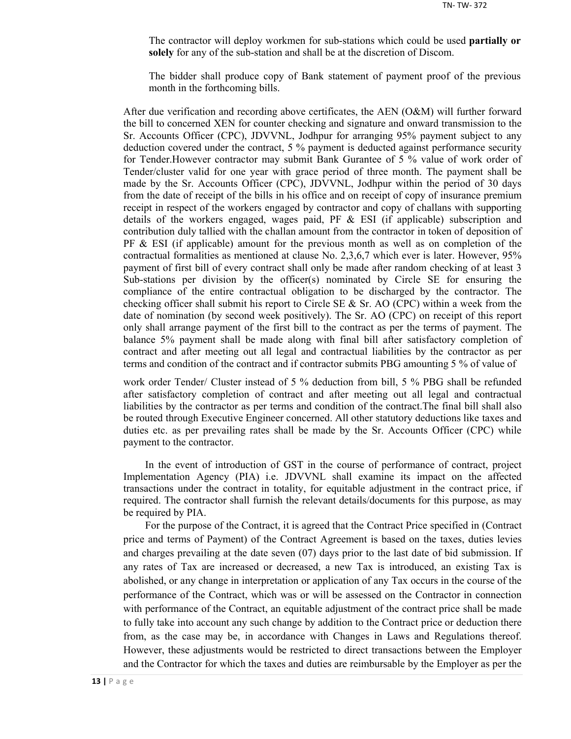The contractor will deploy workmen for sub-stations which could be used **partially or solely** for any of the sub-station and shall be at the discretion of Discom.

The bidder shall produce copy of Bank statement of payment proof of the previous month in the forthcoming bills.

After due verification and recording above certificates, the AEN (O&M) will further forward the bill to concerned XEN for counter checking and signature and onward transmission to the Sr. Accounts Officer (CPC), JDVVNL, Jodhpur for arranging 95% payment subject to any deduction covered under the contract, 5 % payment is deducted against performance security for Tender.However contractor may submit Bank Gurantee of 5 % value of work order of Tender/cluster valid for one year with grace period of three month. The payment shall be made by the Sr. Accounts Officer (CPC), JDVVNL, Jodhpur within the period of 30 days from the date of receipt of the bills in his office and on receipt of copy of insurance premium receipt in respect of the workers engaged by contractor and copy of challans with supporting details of the workers engaged, wages paid, PF  $\&$  ESI (if applicable) subscription and contribution duly tallied with the challan amount from the contractor in token of deposition of  $PF \& ESI$  (if applicable) amount for the previous month as well as on completion of the contractual formalities as mentioned at clause No. 2,3,6,7 which ever is later. However, 95% payment of first bill of every contract shall only be made after random checking of at least 3 Sub-stations per division by the officer(s) nominated by Circle SE for ensuring the compliance of the entire contractual obligation to be discharged by the contractor. The checking officer shall submit his report to Circle SE  $\&$  Sr. AO (CPC) within a week from the date of nomination (by second week positively). The Sr. AO (CPC) on receipt of this report only shall arrange payment of the first bill to the contract as per the terms of payment. The balance 5% payment shall be made along with final bill after satisfactory completion of contract and after meeting out all legal and contractual liabilities by the contractor as per terms and condition of the contract and if contractor submits PBG amounting 5 % of value of

work order Tender/ Cluster instead of 5 % deduction from bill, 5 % PBG shall be refunded after satisfactory completion of contract and after meeting out all legal and contractual liabilities by the contractor as per terms and condition of the contract.The final bill shall also be routed through Executive Engineer concerned. All other statutory deductions like taxes and duties etc. as per prevailing rates shall be made by the Sr. Accounts Officer (CPC) while payment to the contractor.

In the event of introduction of GST in the course of performance of contract, project Implementation Agency (PIA) i.e. JDVVNL shall examine its impact on the affected transactions under the contract in totality, for equitable adjustment in the contract price, if required. The contractor shall furnish the relevant details/documents for this purpose, as may be required by PIA.

For the purpose of the Contract, it is agreed that the Contract Price specified in (Contract price and terms of Payment) of the Contract Agreement is based on the taxes, duties levies and charges prevailing at the date seven (07) days prior to the last date of bid submission. If any rates of Tax are increased or decreased, a new Tax is introduced, an existing Tax is abolished, or any change in interpretation or application of any Tax occurs in the course of the performance of the Contract, which was or will be assessed on the Contractor in connection with performance of the Contract, an equitable adjustment of the contract price shall be made to fully take into account any such change by addition to the Contract price or deduction there from, as the case may be, in accordance with Changes in Laws and Regulations thereof. However, these adjustments would be restricted to direct transactions between the Employer and the Contractor for which the taxes and duties are reimbursable by the Employer as per the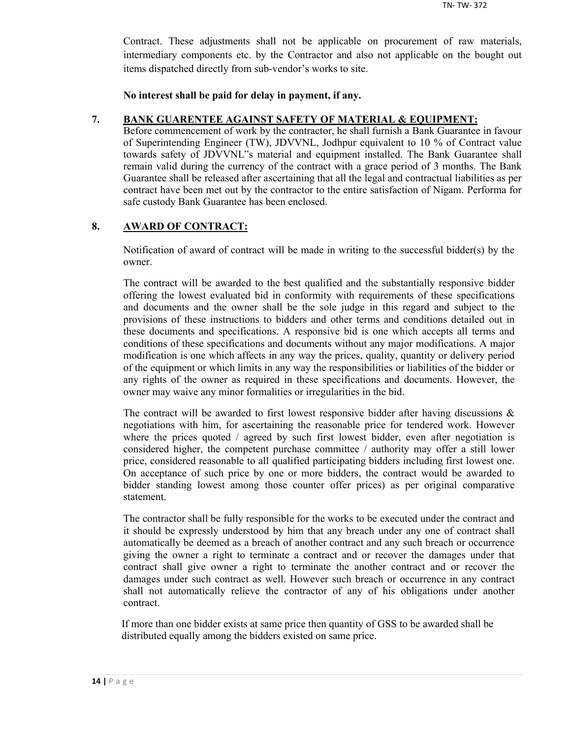Contract. These adjustments shall not be applicable on procurement of raw materials, intermediary components etc. by the Contractor and also not applicable on the bought out items dispatched directly from sub-vendor's works to site.

**No interest shall be paid for delay in payment, if any.**

### **7. BANK GUARENTEE AGAINST SAFETY OF MATERIAL & EQUIPMENT:**

Before commencement of work by the contractor, he shall furnish a Bank Guarantee in favour of Superintending Engineer (TW), JDVVNL, Jodhpur equivalent to 10 % of Contract value towards safety of JDVVNL"s material and equipment installed. The Bank Guarantee shall remain valid during the currency of the contract with a grace period of 3 months. The Bank Guarantee shall be released after ascertaining that all the legal and contractual liabilities as per contract have been met out by the contractor to the entire satisfaction of Nigam. Performa for safe custody Bank Guarantee has been enclosed.

## **8. AWARD OF CONTRACT:**

Notification of award of contract will be made in writing to the successful bidder(s) by the owner.

The contract will be awarded to the best qualified and the substantially responsive bidder offering the lowest evaluated bid in conformity with requirements of these specifications and documents and the owner shall be the sole judge in this regard and subject to the provisions of these instructions to bidders and other terms and conditions detailed out in these documents and specifications. A responsive bid is one which accepts all terms and conditions of these specifications and documents without any major modifications. A major modification is one which affects in any way the prices, quality, quantity or delivery period of the equipment or which limits in any way the responsibilities or liabilities of the bidder or any rights of the owner as required in these specifications and documents. However, the owner may waive any minor formalities or irregularities in the bid.

The contract will be awarded to first lowest responsive bidder after having discussions  $\&$ negotiations with him, for ascertaining the reasonable price for tendered work. However where the prices quoted / agreed by such first lowest bidder, even after negotiation is considered higher, the competent purchase committee / authority may offer a still lower price, considered reasonable to all qualified participating bidders including first lowest one. On acceptance of such price by one or more bidders, the contract would be awarded to bidder standing lowest among those counter offer prices) as per original comparative statement.

The contractor shall be fully responsible for the works to be executed under the contract and it should be expressly understood by him that any breach under any one of contract shall automatically be deemed as a breach of another contract and any such breach or occurrence giving the owner a right to terminate a contract and or recover the damages under that contract shall give owner a right to terminate the another contract and or recover the damages under such contract as well. However such breach or occurrence in any contract shall not automatically relieve the contractor of any of his obligations under another contract.

If more than one bidder exists at same price then quantity of GSS to be awarded shall be distributed equally among the bidders existed on same price.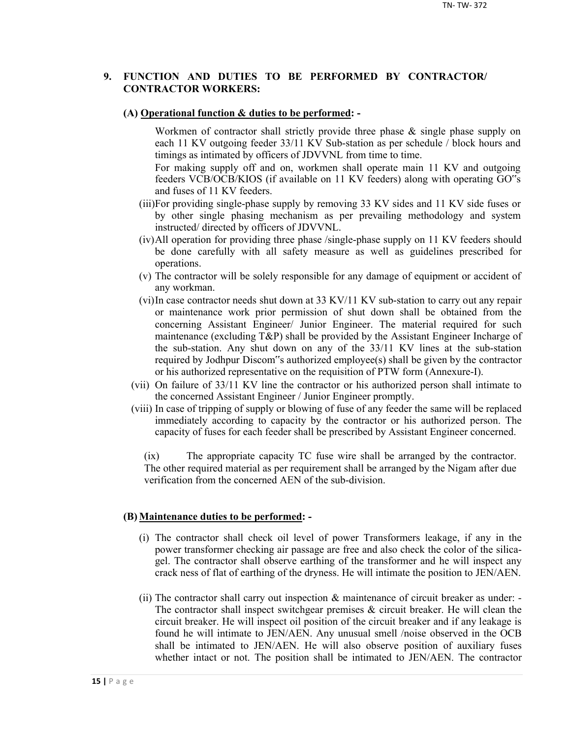## **9. FUNCTION AND DUTIES TO BE PERFORMED BY CONTRACTOR/ CONTRACTOR WORKERS:**

#### **(A) Operational function & duties to be performed: -**

Workmen of contractor shall strictly provide three phase & single phase supply on each 11 KV outgoing feeder 33/11 KV Sub-station as per schedule / block hours and timings as intimated by officers of JDVVNL from time to time.

For making supply off and on, workmen shall operate main 11 KV and outgoing feeders VCB/OCB/KIOS (if available on 11 KV feeders) along with operating GO"s and fuses of 11 KV feeders.

- (iii)For providing single-phase supply by removing 33 KV sides and 11 KV side fuses or by other single phasing mechanism as per prevailing methodology and system instructed/ directed by officers of JDVVNL.
- (iv)All operation for providing three phase /single-phase supply on 11 KV feeders should be done carefully with all safety measure as well as guidelines prescribed for operations.
- (v) The contractor will be solely responsible for any damage of equipment or accident of any workman.
- (vi)In case contractor needs shut down at 33 KV/11 KV sub-station to carry out any repair or maintenance work prior permission of shut down shall be obtained from the concerning Assistant Engineer/ Junior Engineer. The material required for such maintenance (excluding T&P) shall be provided by the Assistant Engineer Incharge of the sub-station. Any shut down on any of the 33/11 KV lines at the sub-station required by Jodhpur Discom"s authorized employee(s) shall be given by the contractor or his authorized representative on the requisition of PTW form (Annexure-I).
- (vii) On failure of 33/11 KV line the contractor or his authorized person shall intimate to the concerned Assistant Engineer / Junior Engineer promptly.
- (viii) In case of tripping of supply or blowing of fuse of any feeder the same will be replaced immediately according to capacity by the contractor or his authorized person. The capacity of fuses for each feeder shall be prescribed by Assistant Engineer concerned.

(ix) The appropriate capacity TC fuse wire shall be arranged by the contractor. The other required material as per requirement shall be arranged by the Nigam after due verification from the concerned AEN of the sub-division.

#### **(B) Maintenance duties to be performed: -**

- (i) The contractor shall check oil level of power Transformers leakage, if any in the power transformer checking air passage are free and also check the color of the silicagel. The contractor shall observe earthing of the transformer and he will inspect any crack ness of flat of earthing of the dryness. He will intimate the position to JEN/AEN.
- (ii) The contractor shall carry out inspection & maintenance of circuit breaker as under: The contractor shall inspect switchgear premises  $\&$  circuit breaker. He will clean the circuit breaker. He will inspect oil position of the circuit breaker and if any leakage is found he will intimate to JEN/AEN. Any unusual smell /noise observed in the OCB shall be intimated to JEN/AEN. He will also observe position of auxiliary fuses whether intact or not. The position shall be intimated to JEN/AEN. The contractor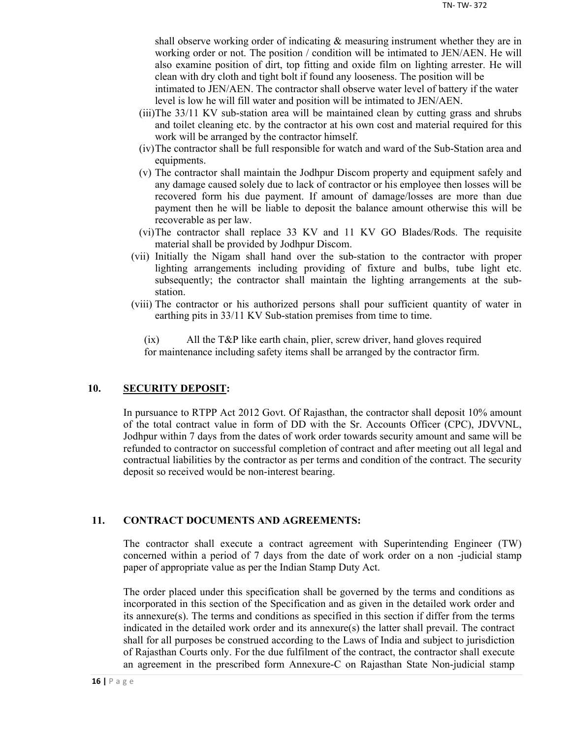shall observe working order of indicating & measuring instrument whether they are in working order or not. The position / condition will be intimated to JEN/AEN. He will also examine position of dirt, top fitting and oxide film on lighting arrester. He will clean with dry cloth and tight bolt if found any looseness. The position will be

intimated to JEN/AEN. The contractor shall observe water level of battery if the water level is low he will fill water and position will be intimated to JEN/AEN.

- (iii)The 33/11 KV sub-station area will be maintained clean by cutting grass and shrubs and toilet cleaning etc. by the contractor at his own cost and material required for this work will be arranged by the contractor himself.
- (iv)The contractor shall be full responsible for watch and ward of the Sub-Station area and equipments.
- (v) The contractor shall maintain the Jodhpur Discom property and equipment safely and any damage caused solely due to lack of contractor or his employee then losses will be recovered form his due payment. If amount of damage/losses are more than due payment then he will be liable to deposit the balance amount otherwise this will be recoverable as per law.
- (vi)The contractor shall replace 33 KV and 11 KV GO Blades/Rods. The requisite material shall be provided by Jodhpur Discom.
- (vii) Initially the Nigam shall hand over the sub-station to the contractor with proper lighting arrangements including providing of fixture and bulbs, tube light etc. subsequently; the contractor shall maintain the lighting arrangements at the substation.
- (viii) The contractor or his authorized persons shall pour sufficient quantity of water in earthing pits in 33/11 KV Sub-station premises from time to time.

(ix) All the T&P like earth chain, plier, screw driver, hand gloves required for maintenance including safety items shall be arranged by the contractor firm.

## **10. SECURITY DEPOSIT:**

In pursuance to RTPP Act 2012 Govt. Of Rajasthan, the contractor shall deposit 10% amount of the total contract value in form of DD with the Sr. Accounts Officer (CPC), JDVVNL, Jodhpur within 7 days from the dates of work order towards security amount and same will be refunded to contractor on successful completion of contract and after meeting out all legal and contractual liabilities by the contractor as per terms and condition of the contract. The security deposit so received would be non-interest bearing.

## **11. CONTRACT DOCUMENTS AND AGREEMENTS:**

The contractor shall execute a contract agreement with Superintending Engineer (TW) concerned within a period of 7 days from the date of work order on a non -judicial stamp paper of appropriate value as per the Indian Stamp Duty Act.

The order placed under this specification shall be governed by the terms and conditions as incorporated in this section of the Specification and as given in the detailed work order and its annexure(s). The terms and conditions as specified in this section if differ from the terms indicated in the detailed work order and its annexure(s) the latter shall prevail. The contract shall for all purposes be construed according to the Laws of India and subject to jurisdiction of Rajasthan Courts only. For the due fulfilment of the contract, the contractor shall execute an agreement in the prescribed form Annexure-C on Rajasthan State Non-judicial stamp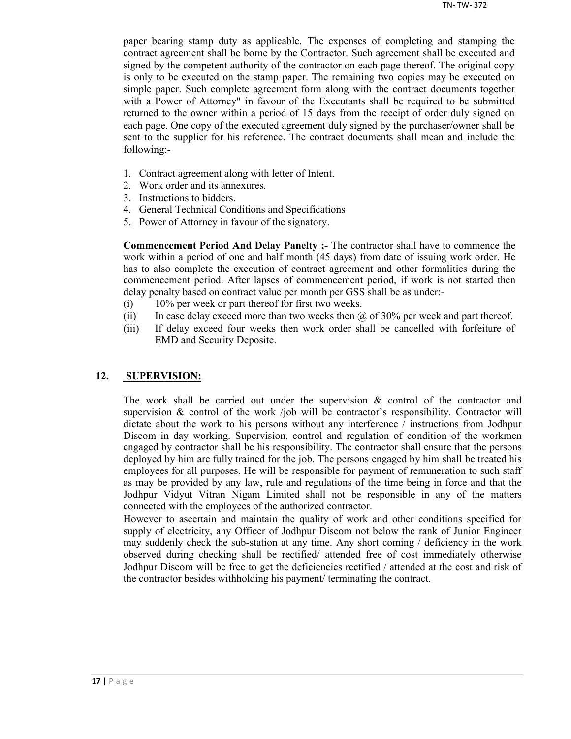paper bearing stamp duty as applicable. The expenses of completing and stamping the contract agreement shall be borne by the Contractor. Such agreement shall be executed and signed by the competent authority of the contractor on each page thereof. The original copy is only to be executed on the stamp paper. The remaining two copies may be executed on simple paper. Such complete agreement form along with the contract documents together with a Power of Attorney" in favour of the Executants shall be required to be submitted returned to the owner within a period of 15 days from the receipt of order duly signed on each page. One copy of the executed agreement duly signed by the purchaser/owner shall be sent to the supplier for his reference. The contract documents shall mean and include the following:-

- 1. Contract agreement along with letter of Intent.
- 2. Work order and its annexures.
- 3. Instructions to bidders.
- 4. General Technical Conditions and Specifications
- 5. Power of Attorney in favour of the signatory.

**Commencement Period And Delay Panelty ;-** The contractor shall have to commence the work within a period of one and half month (45 days) from date of issuing work order. He has to also complete the execution of contract agreement and other formalities during the commencement period. After lapses of commencement period, if work is not started then delay penalty based on contract value per month per GSS shall be as under:-

- (i) 10% per week or part thereof for first two weeks.
- (ii) In case delay exceed more than two weeks then  $\omega$  of 30% per week and part thereof.
- (iii) If delay exceed four weeks then work order shall be cancelled with forfeiture of EMD and Security Deposite.

### **12. SUPERVISION:**

The work shall be carried out under the supervision  $\&$  control of the contractor and supervision  $\&$  control of the work /job will be contractor's responsibility. Contractor will dictate about the work to his persons without any interference / instructions from Jodhpur Discom in day working. Supervision, control and regulation of condition of the workmen engaged by contractor shall be his responsibility. The contractor shall ensure that the persons deployed by him are fully trained for the job. The persons engaged by him shall be treated his employees for all purposes. He will be responsible for payment of remuneration to such staff as may be provided by any law, rule and regulations of the time being in force and that the Jodhpur Vidyut Vitran Nigam Limited shall not be responsible in any of the matters connected with the employees of the authorized contractor.

However to ascertain and maintain the quality of work and other conditions specified for supply of electricity, any Officer of Jodhpur Discom not below the rank of Junior Engineer may suddenly check the sub-station at any time. Any short coming / deficiency in the work observed during checking shall be rectified/ attended free of cost immediately otherwise Jodhpur Discom will be free to get the deficiencies rectified / attended at the cost and risk of the contractor besides withholding his payment/ terminating the contract.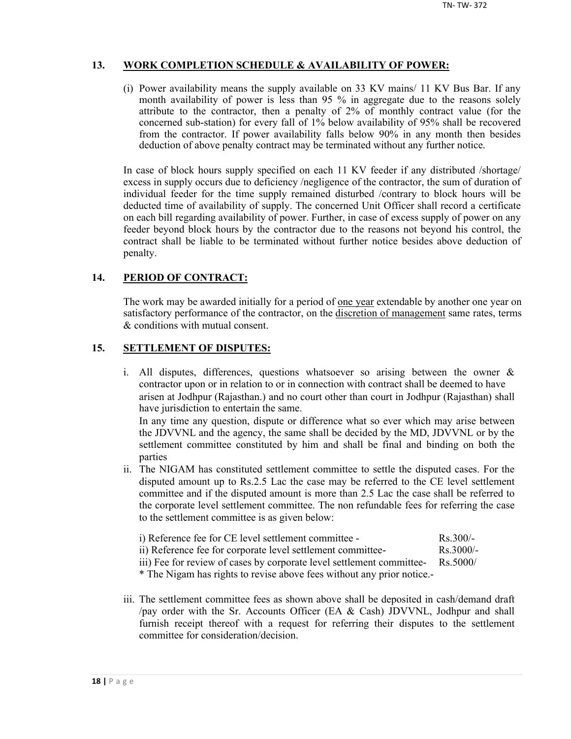## **13. WORK COMPLETION SCHEDULE & AVAILABILITY OF POWER:**

(i) Power availability means the supply available on 33 KV mains/ 11 KV Bus Bar. If any month availability of power is less than 95 % in aggregate due to the reasons solely attribute to the contractor, then a penalty of 2% of monthly contract value (for the concerned sub-station) for every fall of 1% below availability of 95% shall be recovered from the contractor. If power availability falls below 90% in any month then besides deduction of above penalty contract may be terminated without any further notice.

In case of block hours supply specified on each 11 KV feeder if any distributed /shortage/ excess in supply occurs due to deficiency /negligence of the contractor, the sum of duration of individual feeder for the time supply remained disturbed /contrary to block hours will be deducted time of availability of supply. The concerned Unit Officer shall record a certificate on each bill regarding availability of power. Further, in case of excess supply of power on any feeder beyond block hours by the contractor due to the reasons not beyond his control, the contract shall be liable to be terminated without further notice besides above deduction of penalty.

## **14. PERIOD OF CONTRACT:**

The work may be awarded initially for a period of <u>one year</u> extendable by another one year on satisfactory performance of the contractor, on the discretion of management same rates, terms & conditions with mutual consent.

## **15. SETTLEMENT OF DISPUTES:**

- i. All disputes, differences, questions whatsoever so arising between the owner & contractor upon or in relation to or in connection with contract shall be deemed to have arisen at Jodhpur (Rajasthan.) and no court other than court in Jodhpur (Rajasthan) shall have jurisdiction to entertain the same. In any time any question, dispute or difference what so ever which may arise between the JDVVNL and the agency, the same shall be decided by the MD, JDVVNL or by the settlement committee constituted by him and shall be final and binding on both the parties
- ii. The NIGAM has constituted settlement committee to settle the disputed cases. For the disputed amount up to Rs.2.5 Lac the case may be referred to the CE level settlement committee and if the disputed amount is more than 2.5 Lac the case shall be referred to the corporate level settlement committee. The non refundable fees for referring the case to the settlement committee is as given below:

| i) Reference fee for CE level settlement committee -        | $Rs$ 300/-          |
|-------------------------------------------------------------|---------------------|
| ii) Reference fee for corporate level settlement committee- | $\text{Rs } 3000/-$ |

iii) Fee for review of cases by corporate level settlement committee- Rs.5000/

\* The Nigam has rights to revise above fees without any prior notice.-

iii. The settlement committee fees as shown above shall be deposited in cash/demand draft /pay order with the Sr. Accounts Officer (EA & Cash) JDVVNL, Jodhpur and shall furnish receipt thereof with a request for referring their disputes to the settlement committee for consideration/decision.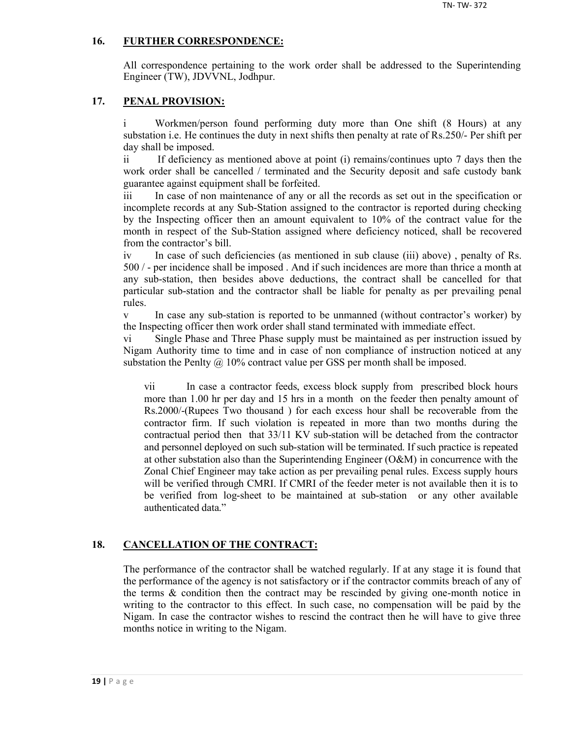## **16. FURTHER CORRESPONDENCE:**

All correspondence pertaining to the work order shall be addressed to the Superintending Engineer (TW), JDVVNL, Jodhpur.

## **17. PENAL PROVISION:**

i Workmen/person found performing duty more than One shift (8 Hours) at any substation i.e. He continues the duty in next shifts then penalty at rate of Rs.250/- Per shift per day shall be imposed.

ii If deficiency as mentioned above at point (i) remains/continues upto 7 days then the work order shall be cancelled / terminated and the Security deposit and safe custody bank guarantee against equipment shall be forfeited.

iii In case of non maintenance of any or all the records as set out in the specification or incomplete records at any Sub-Station assigned to the contractor is reported during checking by the Inspecting officer then an amount equivalent to 10% of the contract value for the month in respect of the Sub-Station assigned where deficiency noticed, shall be recovered from the contractor's bill.

iv In case of such deficiencies (as mentioned in sub clause (iii) above) , penalty of Rs. 500 / - per incidence shall be imposed . And if such incidences are more than thrice a month at any sub-station, then besides above deductions, the contract shall be cancelled for that particular sub-station and the contractor shall be liable for penalty as per prevailing penal rules.

v In case any sub-station is reported to be unmanned (without contractor's worker) by the Inspecting officer then work order shall stand terminated with immediate effect.

vi Single Phase and Three Phase supply must be maintained as per instruction issued by Nigam Authority time to time and in case of non compliance of instruction noticed at any substation the Penlty  $\omega$  10% contract value per GSS per month shall be imposed.

vii In case a contractor feeds, excess block supply from prescribed block hours more than 1.00 hr per day and 15 hrs in a month on the feeder then penalty amount of Rs.2000/-(Rupees Two thousand ) for each excess hour shall be recoverable from the contractor firm. If such violation is repeated in more than two months during the contractual period then that 33/11 KV sub-station will be detached from the contractor and personnel deployed on such sub-station will be terminated. If such practice is repeated at other substation also than the Superintending Engineer (O&M) in concurrence with the Zonal Chief Engineer may take action as per prevailing penal rules. Excess supply hours will be verified through CMRI. If CMRI of the feeder meter is not available then it is to be verified from log-sheet to be maintained at sub-station or any other available authenticated data."

## **18. CANCELLATION OF THE CONTRACT:**

The performance of the contractor shall be watched regularly. If at any stage it is found that the performance of the agency is not satisfactory or if the contractor commits breach of any of the terms  $\&$  condition then the contract may be rescinded by giving one-month notice in writing to the contractor to this effect. In such case, no compensation will be paid by the Nigam. In case the contractor wishes to rescind the contract then he will have to give three months notice in writing to the Nigam.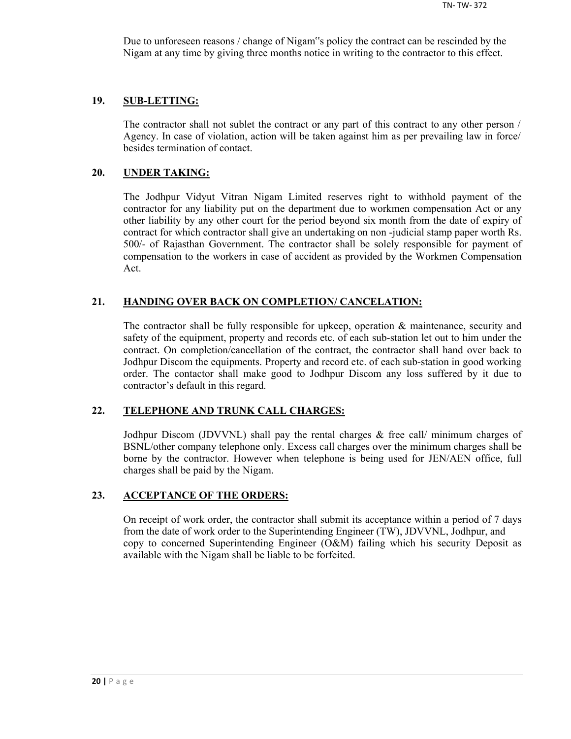Due to unforeseen reasons / change of Nigam"s policy the contract can be rescinded by the Nigam at any time by giving three months notice in writing to the contractor to this effect.

#### **19. SUB-LETTING:**

The contractor shall not sublet the contract or any part of this contract to any other person / Agency. In case of violation, action will be taken against him as per prevailing law in force/ besides termination of contact.

#### **20. UNDER TAKING:**

The Jodhpur Vidyut Vitran Nigam Limited reserves right to withhold payment of the contractor for any liability put on the department due to workmen compensation Act or any other liability by any other court for the period beyond six month from the date of expiry of contract for which contractor shall give an undertaking on non -judicial stamp paper worth Rs. 500/- of Rajasthan Government. The contractor shall be solely responsible for payment of compensation to the workers in case of accident as provided by the Workmen Compensation Act.

### **21. HANDING OVER BACK ON COMPLETION/ CANCELATION:**

The contractor shall be fully responsible for upkeep, operation & maintenance, security and safety of the equipment, property and records etc. of each sub-station let out to him under the contract. On completion/cancellation of the contract, the contractor shall hand over back to Jodhpur Discom the equipments. Property and record etc. of each sub-station in good working order. The contactor shall make good to Jodhpur Discom any loss suffered by it due to contractor's default in this regard.

### **22. TELEPHONE AND TRUNK CALL CHARGES:**

Jodhpur Discom (JDVVNL) shall pay the rental charges & free call/ minimum charges of BSNL/other company telephone only. Excess call charges over the minimum charges shall be borne by the contractor. However when telephone is being used for JEN/AEN office, full charges shall be paid by the Nigam.

#### **23. ACCEPTANCE OF THE ORDERS:**

On receipt of work order, the contractor shall submit its acceptance within a period of 7 days from the date of work order to the Superintending Engineer (TW), JDVVNL, Jodhpur, and copy to concerned Superintending Engineer (O&M) failing which his security Deposit as available with the Nigam shall be liable to be forfeited.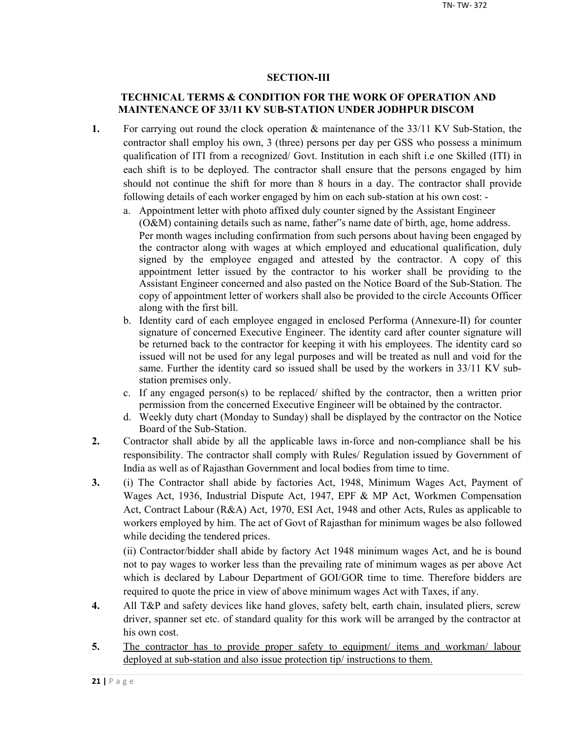## **SECTION-III**

## **TECHNICAL TERMS & CONDITION FOR THE WORK OF OPERATION AND MAINTENANCE OF 33/11 KV SUB-STATION UNDER JODHPUR DISCOM**

- **1.** For carrying out round the clock operation & maintenance of the 33/11 KV Sub-Station, the contractor shall employ his own, 3 (three) persons per day per GSS who possess a minimum qualification of ITI from a recognized/ Govt. Institution in each shift i.e one Skilled (ITI) in each shift is to be deployed. The contractor shall ensure that the persons engaged by him should not continue the shift for more than 8 hours in a day. The contractor shall provide following details of each worker engaged by him on each sub-station at his own cost:
	- a. Appointment letter with photo affixed duly counter signed by the Assistant Engineer (O&M) containing details such as name, father"s name date of birth, age, home address. Per month wages including confirmation from such persons about having been engaged by the contractor along with wages at which employed and educational qualification, duly signed by the employee engaged and attested by the contractor. A copy of this appointment letter issued by the contractor to his worker shall be providing to the Assistant Engineer concerned and also pasted on the Notice Board of the Sub-Station. The copy of appointment letter of workers shall also be provided to the circle Accounts Officer along with the first bill.
	- b. Identity card of each employee engaged in enclosed Performa (Annexure-II) for counter signature of concerned Executive Engineer. The identity card after counter signature will be returned back to the contractor for keeping it with his employees. The identity card so issued will not be used for any legal purposes and will be treated as null and void for the same. Further the identity card so issued shall be used by the workers in 33/11 KV substation premises only.
	- c. If any engaged person(s) to be replaced/ shifted by the contractor, then a written prior permission from the concerned Executive Engineer will be obtained by the contractor.
	- d. Weekly duty chart (Monday to Sunday) shall be displayed by the contractor on the Notice Board of the Sub-Station.
- **2.** Contractor shall abide by all the applicable laws in-force and non-compliance shall be his responsibility. The contractor shall comply with Rules/ Regulation issued by Government of India as well as of Rajasthan Government and local bodies from time to time.
- **3.** (i) The Contractor shall abide by factories Act, 1948, Minimum Wages Act, Payment of Wages Act, 1936, Industrial Dispute Act, 1947, EPF & MP Act, Workmen Compensation Act, Contract Labour (R&A) Act, 1970, ESI Act, 1948 and other Acts, Rules as applicable to workers employed by him. The act of Govt of Rajasthan for minimum wages be also followed while deciding the tendered prices.

(ii) Contractor/bidder shall abide by factory Act 1948 minimum wages Act, and he is bound not to pay wages to worker less than the prevailing rate of minimum wages as per above Act which is declared by Labour Department of GOI/GOR time to time. Therefore bidders are required to quote the price in view of above minimum wages Act with Taxes, if any.

- **4.** All T&P and safety devices like hand gloves, safety belt, earth chain, insulated pliers, screw driver, spanner set etc. of standard quality for this work will be arranged by the contractor at his own cost.
- 5. The contractor has to provide proper safety to equipment/ items and workman/ labour deployed at sub-station and also issue protection tip/ instructions to them.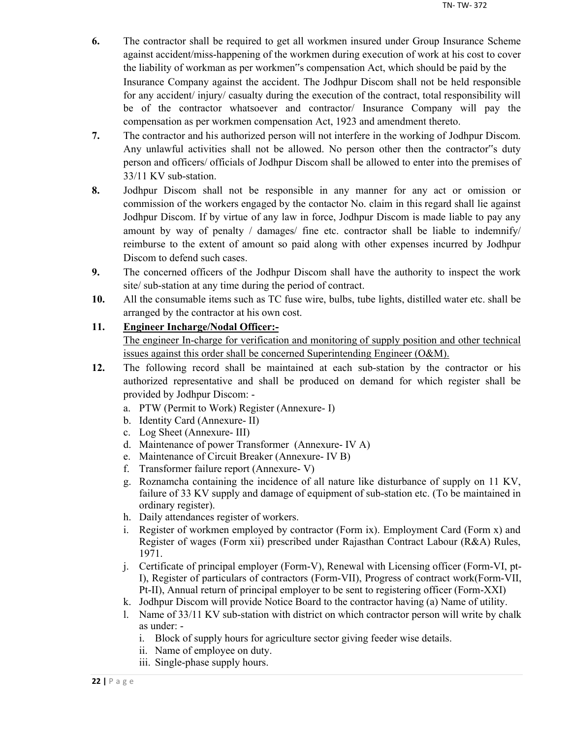- **6.** The contractor shall be required to get all workmen insured under Group Insurance Scheme against accident/miss-happening of the workmen during execution of work at his cost to cover the liability of workman as per workmen"s compensation Act, which should be paid by the Insurance Company against the accident. The Jodhpur Discom shall not be held responsible for any accident/ injury/ casualty during the execution of the contract, total responsibility will be of the contractor whatsoever and contractor/ Insurance Company will pay the compensation as per workmen compensation Act, 1923 and amendment thereto.
- **7.** The contractor and his authorized person will not interfere in the working of Jodhpur Discom. Any unlawful activities shall not be allowed. No person other then the contractor"s duty person and officers/ officials of Jodhpur Discom shall be allowed to enter into the premises of 33/11 KV sub-station.
- **8.** Jodhpur Discom shall not be responsible in any manner for any act or omission or commission of the workers engaged by the contactor No. claim in this regard shall lie against Jodhpur Discom. If by virtue of any law in force, Jodhpur Discom is made liable to pay any amount by way of penalty / damages/ fine etc. contractor shall be liable to indemnify/ reimburse to the extent of amount so paid along with other expenses incurred by Jodhpur Discom to defend such cases.
- **9.** The concerned officers of the Jodhpur Discom shall have the authority to inspect the work site/ sub-station at any time during the period of contract.
- **10.** All the consumable items such as TC fuse wire, bulbs, tube lights, distilled water etc. shall be arranged by the contractor at his own cost.

## **11. Engineer Incharge/Nodal Officer:-**

The engineer In-charge for verification and monitoring of supply position and other technical issues against this order shall be concerned Superintending Engineer (O&M).

- **12.** The following record shall be maintained at each sub-station by the contractor or his authorized representative and shall be produced on demand for which register shall be provided by Jodhpur Discom:
	- a. PTW (Permit to Work) Register (Annexure- I)
	- b. Identity Card (Annexure- II)
	- c. Log Sheet (Annexure- III)
	- d. Maintenance of power Transformer (Annexure- IV A)
	- e. Maintenance of Circuit Breaker (Annexure- IV B)
	- f. Transformer failure report (Annexure- V)
	- g. Roznamcha containing the incidence of all nature like disturbance of supply on 11 KV, failure of 33 KV supply and damage of equipment of sub-station etc. (To be maintained in ordinary register).
	- h. Daily attendances register of workers.
	- i. Register of workmen employed by contractor (Form ix). Employment Card (Form x) and Register of wages (Form xii) prescribed under Rajasthan Contract Labour (R&A) Rules, 1971.
	- j. Certificate of principal employer (Form-V), Renewal with Licensing officer (Form-VI, pt-I), Register of particulars of contractors (Form-VII), Progress of contract work(Form-VII, Pt-II), Annual return of principal employer to be sent to registering officer (Form-XXI)
	- k. Jodhpur Discom will provide Notice Board to the contractor having (a) Name of utility.
	- l. Name of 33/11 KV sub-station with district on which contractor person will write by chalk as under:
		- i. Block of supply hours for agriculture sector giving feeder wise details.
		- ii. Name of employee on duty.
		- iii. Single-phase supply hours.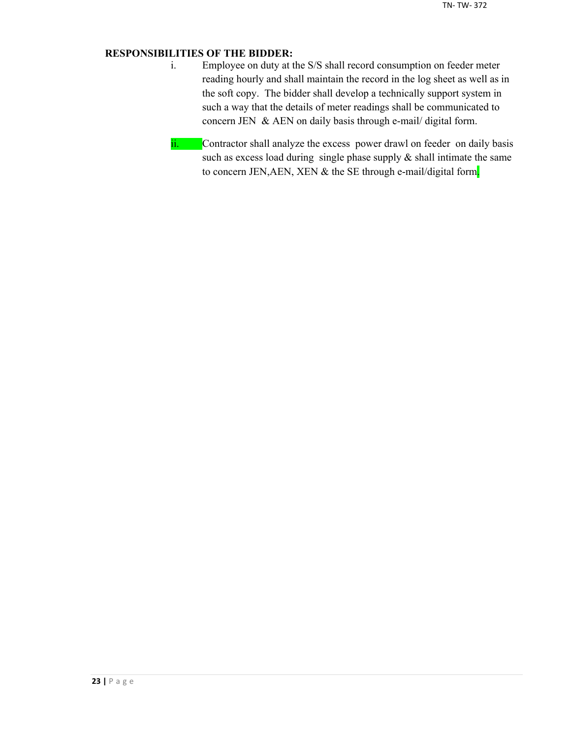## **RESPONSIBILITIES OF THE BIDDER:**

- i. Employee on duty at the S/S shall record consumption on feeder meter reading hourly and shall maintain the record in the log sheet as well as in the soft copy. The bidder shall develop a technically support system in such a way that the details of meter readings shall be communicated to concern JEN & AEN on daily basis through e-mail/ digital form.
- ii. Contractor shall analyze the excess power drawl on feeder on daily basis such as excess load during single phase supply  $\&$  shall intimate the same to concern JEN, AEN, XEN & the SE through e-mail/digital form.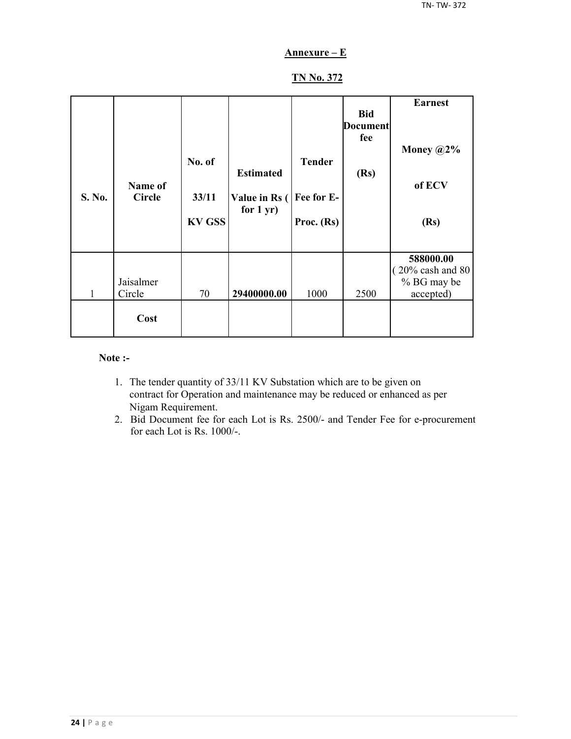## **Annexure – E**

## **TN No. 372**

| S. No. | Name of<br><b>Circle</b> | No. of<br>33/11<br><b>KV GSS</b> | <b>Estimated</b><br>Value in Rs (<br>for $1 yr$ ) | <b>Tender</b><br>Fee for E-<br>Proc. (Rs) | <b>Bid</b><br><b>Document</b><br>fee<br>(Rs) | <b>Earnest</b><br>Money $@2\%$<br>of ECV<br>(Rs)                       |
|--------|--------------------------|----------------------------------|---------------------------------------------------|-------------------------------------------|----------------------------------------------|------------------------------------------------------------------------|
| 1      | Jaisalmer<br>Circle      | 70                               | 29400000.00                                       | 1000                                      | 2500                                         | 588000.00<br>$(20\% \text{ cash and } 80)$<br>% BG may be<br>accepted) |
|        | Cost                     |                                  |                                                   |                                           |                                              |                                                                        |

#### **Note :-**

- 1. The tender quantity of 33/11 KV Substation which are to be given on contract for Operation and maintenance may be reduced or enhanced as per Nigam Requirement.
- 2. Bid Document fee for each Lot is Rs. 2500/- and Tender Fee for e-procurement for each Lot is Rs. 1000/-.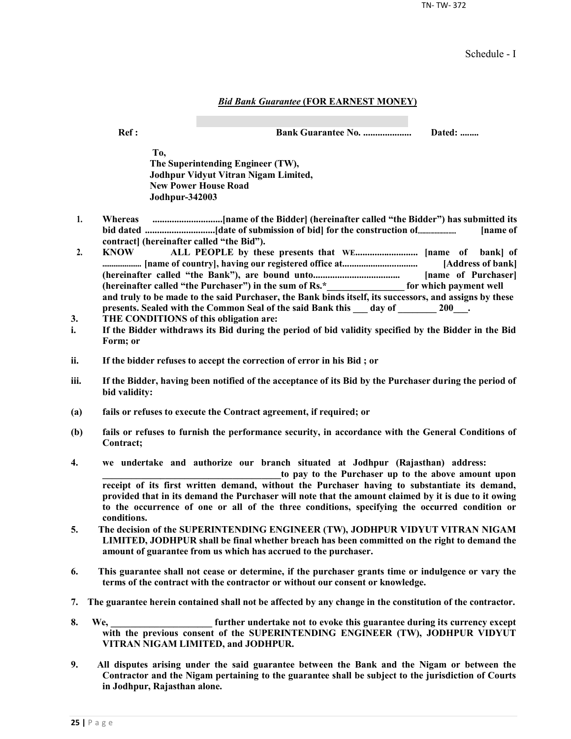TN- TW- 372

Schedule - I

#### *Bid Bank Guarantee* **(FOR EARNEST MONEY)**

**Ref : Bank Guarantee No. .................... Dated: ........**

**To, The Superintending Engineer (TW), Jodhpur Vidyut Vitran Nigam Limited, New Power House Road Jodhpur-342003**

- **1. Whereas .............................[name of the Bidder] (hereinafter called "the Bidder") has submitted its bid dated .............................[date of submission of bid] for the construction of......................... [name of contract] (hereinafter called "the Bid").**
- **2. KNOW ALL PEOPLE by these presents that WE.......................... [name of bank] of ..................... [name of country], having our registered office at................................ [Address of bank] (hereinafter called "the Bank"), are bound unto.................................... [name of Purchaser] (hereinafter called "the Purchaser") in the sum of Rs.\*\_\_\_\_\_\_\_\_\_\_\_\_\_\_\_\_ for which payment well and truly to be made to the said Purchaser, the Bank binds itself, its successors, and assigns by these**  presents. Sealed with the Common Seal of the said Bank this day of 200<sup>1</sup>.
- **3. THE CONDITIONS of this obligation are:**
- **i. If the Bidder withdraws its Bid during the period of bid validity specified by the Bidder in the Bid Form; or**
- **ii. If the bidder refuses to accept the correction of error in his Bid ; or**
- **iii. If the Bidder, having been notified of the acceptance of its Bid by the Purchaser during the period of bid validity:**
- **(a) fails or refuses to execute the Contract agreement, if required; or**
- **(b) fails or refuses to furnish the performance security, in accordance with the General Conditions of Contract;**
- **4. we undertake and authorize our branch situated at Jodhpur (Rajasthan) address:**

to pay to the Purchaser up to the above amount upon **receipt of its first written demand, without the Purchaser having to substantiate its demand, provided that in its demand the Purchaser will note that the amount claimed by it is due to it owing to the occurrence of one or all of the three conditions, specifying the occurred condition or conditions.**

- **5. The decision of the SUPERINTENDING ENGINEER (TW), JODHPUR VIDYUT VITRAN NIGAM LIMITED, JODHPUR shall be final whether breach has been committed on the right to demand the amount of guarantee from us which has accrued to the purchaser.**
- **6. This guarantee shall not cease or determine, if the purchaser grants time or indulgence or vary the terms of the contract with the contractor or without our consent or knowledge.**
- **7. The guarantee herein contained shall not be affected by any change in the constitution of the contractor.**
- **8. We, \_\_\_\_\_\_\_\_\_\_\_\_\_\_\_\_\_\_\_\_\_ further undertake not to evoke this guarantee during its currency except with the previous consent of the SUPERINTENDING ENGINEER (TW), JODHPUR VIDYUT VITRAN NIGAM LIMITED, and JODHPUR.**
- **9. All disputes arising under the said guarantee between the Bank and the Nigam or between the Contractor and the Nigam pertaining to the guarantee shall be subject to the jurisdiction of Courts in Jodhpur, Rajasthan alone.**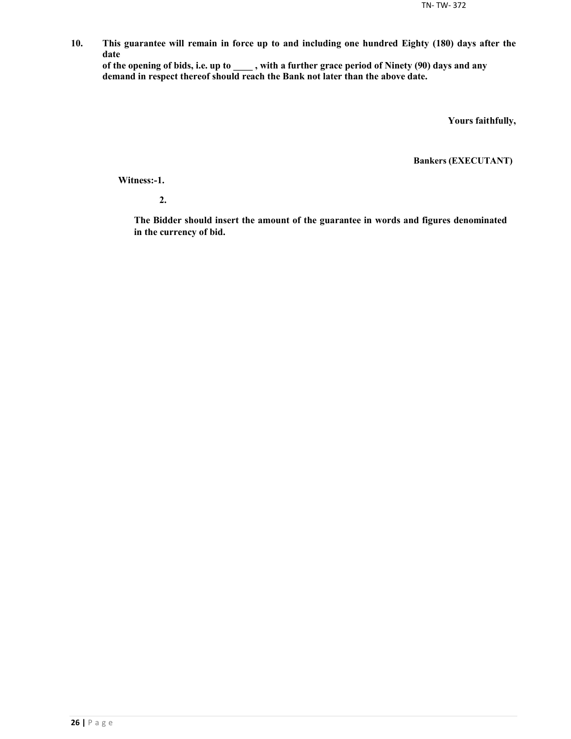**10. This guarantee will remain in force up to and including one hundred Eighty (180) days after the date**

**of the opening of bids, i.e. up to \_\_\_\_ , with a further grace period of Ninety (90) days and any demand in respect thereof should reach the Bank not later than the above date.**

**Yours faithfully,**

**Bankers (EXECUTANT)**

**Witness:-1.**

**2.**

**The Bidder should insert the amount of the guarantee in words and figures denominated in the currency of bid.**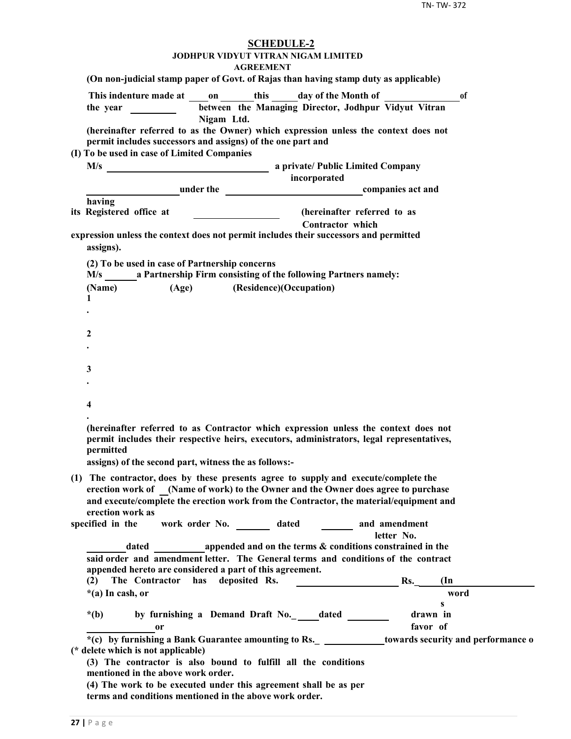| <b>SCHEDULE-2</b><br>JODHPUR VIDYUT VITRAN NIGAM LIMITED                                                                                                                                   |
|--------------------------------------------------------------------------------------------------------------------------------------------------------------------------------------------|
| <b>AGREEMENT</b><br>(On non-judicial stamp paper of Govt. of Rajas than having stamp duty as applicable)                                                                                   |
|                                                                                                                                                                                            |
| This indenture made at on this day of the Month of<br><sup>of</sup><br>between the Managing Director, Jodhpur Vidyut Vitran<br>the year $\frac{1}{\sqrt{1-\frac{1}{2}} \cdot \frac{1}{2}}$ |
| Nigam Ltd.                                                                                                                                                                                 |
| (hereinafter referred to as the Owner) which expression unless the context does not<br>permit includes successors and assigns) of the one part and                                         |
| (I) To be used in case of Limited Companies                                                                                                                                                |
|                                                                                                                                                                                            |
| incorporated                                                                                                                                                                               |
| <b>Example 2</b> under the <b>companies</b> act and<br>having                                                                                                                              |
| its Registered office at<br>(hereinafter referred to as                                                                                                                                    |
| <b>Contractor</b> which                                                                                                                                                                    |
| expression unless the context does not permit includes their successors and permitted<br>assigns).                                                                                         |
| (2) To be used in case of Partnership concerns                                                                                                                                             |
| M/s a Partnership Firm consisting of the following Partners namely:                                                                                                                        |
| (Age) (Residence)(Occupation)<br>(Name)<br>1                                                                                                                                               |
|                                                                                                                                                                                            |
|                                                                                                                                                                                            |
| 2                                                                                                                                                                                          |
|                                                                                                                                                                                            |
|                                                                                                                                                                                            |
| 3                                                                                                                                                                                          |
|                                                                                                                                                                                            |
| 4                                                                                                                                                                                          |
|                                                                                                                                                                                            |
| (hereinafter referred to as Contractor which expression unless the context does not<br>permit includes their respective heirs, executors, administrators, legal representatives,           |
| permitted<br>assigns) of the second part, witness the as follows:-                                                                                                                         |
|                                                                                                                                                                                            |
| (1) The contractor, does by these presents agree to supply and execute/complete the<br>erection work of (Name of work) to the Owner and the Owner does agree to purchase                   |
| and execute/complete the erection work from the Contractor, the material/equipment and                                                                                                     |
| erection work as                                                                                                                                                                           |
| work order No. _________ dated _________ and amendment<br>specified in the                                                                                                                 |
| letter No.                                                                                                                                                                                 |
| dated a propended and on the terms & conditions constrained in the                                                                                                                         |
| said order and amendment letter. The General terms and conditions of the contract<br>appended hereto are considered a part of this agreement.                                              |
| The Contractor has deposited Rs.<br>$\mathbf{Rs.}$<br>$(\text{In})$<br>(2)                                                                                                                 |
| *(a) In cash, or<br>word                                                                                                                                                                   |
| $\mathbf{s}$                                                                                                                                                                               |
| by furnishing a Demand Draft No._edated ______<br>drawn in<br>$*(b)$                                                                                                                       |
| favor of<br><sub>or</sub>                                                                                                                                                                  |
| *(c) by furnishing a Bank Guarantee amounting to Rs. _ _____________towards security and performance o<br>(* delete which is not applicable)                                               |
| (3) The contractor is also bound to fulfill all the conditions<br>mentioned in the above work order.                                                                                       |
| (4) The work to be executed under this agreement shall be as per<br>terms and conditions mentioned in the above work order.                                                                |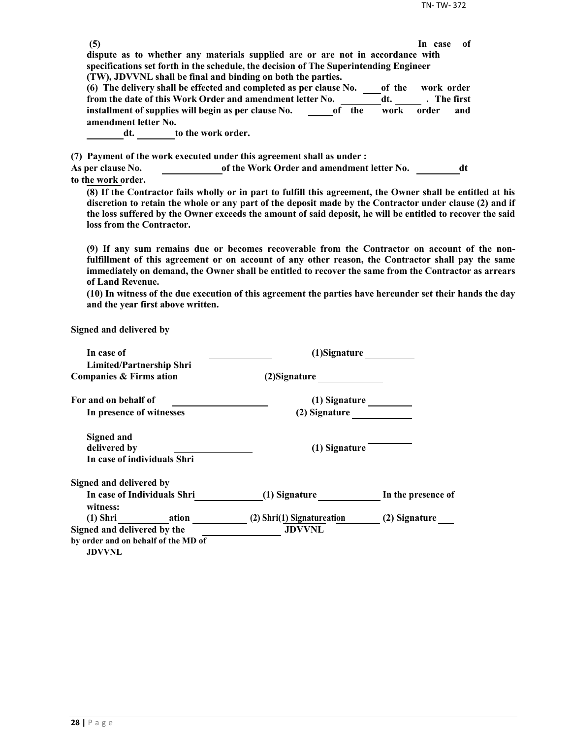| (5)                      |                                                                                                             | -of<br>In case |
|--------------------------|-------------------------------------------------------------------------------------------------------------|----------------|
|                          | dispute as to whether any materials supplied are or are not in accordance with                              |                |
|                          | specifications set forth in the schedule, the decision of The Superintending Engineer                       |                |
|                          | (TW), JDVVNL shall be final and binding on both the parties.                                                |                |
|                          | (6) The delivery shall be effected and completed as per clause No.<br>of the                                | work order     |
|                          | from the date of this Work Order and amendment letter No.<br>dt.                                            | . The first    |
|                          | installment of supplies will begin as per clause No.<br>of the<br>work                                      | order<br>and   |
| amendment letter No.     |                                                                                                             |                |
| dt.                      | to the work order.                                                                                          |                |
|                          | (7) Payment of the work executed under this agreement shall as under :                                      |                |
| <b>As per clause No.</b> | of the Work Order and amendment letter No.                                                                  | dt             |
| to the work order.       |                                                                                                             |                |
|                          | (8) If the Contractor fails wholly or in part to fulfill this agreement, the Owner shall be entitled at his |                |

**discretion to retain the whole or any part of the deposit made by the Contractor under clause (2) and if the loss suffered by the Owner exceeds the amount of said deposit, he will be entitled to recover the said loss from the Contractor.**

**(9) If any sum remains due or becomes recoverable from the Contractor on account of the nonfulfillment of this agreement or on account of any other reason, the Contractor shall pay the same immediately on demand, the Owner shall be entitled to recover the same from the Contractor as arrears of Land Revenue.**

**(10) In witness of the due execution of this agreement the parties have hereunder set their hands the day and the year first above written.**

**Signed and delivered by**

| In case of                                           | (1)Signature               |                    |  |
|------------------------------------------------------|----------------------------|--------------------|--|
| <b>Limited/Partnership Shri</b>                      |                            |                    |  |
| <b>Companies &amp; Firms ation</b>                   | (2) Signature              |                    |  |
| For and on behalf of                                 | (1) Signature              |                    |  |
| In presence of witnesses                             | (2) Signature              |                    |  |
| <b>Signed and</b>                                    |                            |                    |  |
| delivered by                                         | (1) Signature              |                    |  |
| In case of individuals Shri                          |                            |                    |  |
| Signed and delivered by                              |                            |                    |  |
| In case of Individuals Shri<br>witness:              | (1) Signature              | In the presence of |  |
| (1) Shri ation                                       | (2) Shri(1) Signatureation | (2) Signature      |  |
| Signed and delivered by the                          | <b>JDVVNL</b>              |                    |  |
| by order and on behalf of the MD of<br><b>JDVVNL</b> |                            |                    |  |
|                                                      |                            |                    |  |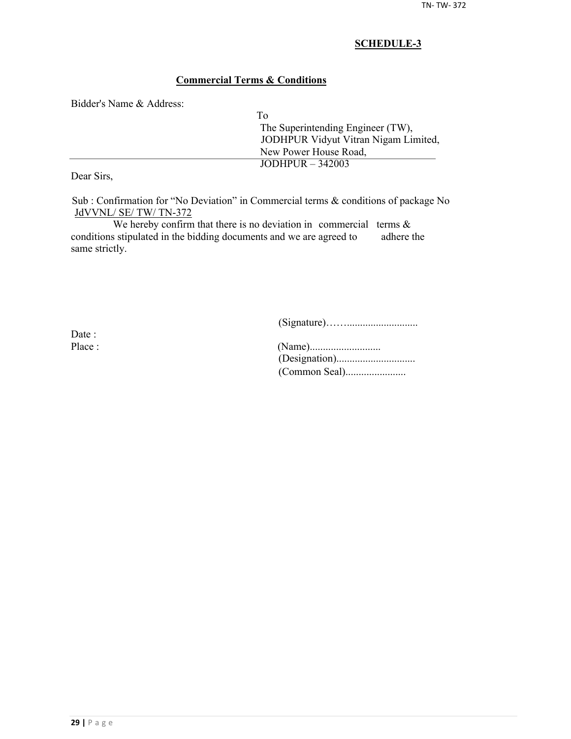## **Commercial Terms & Conditions**

Bidder's Name & Address:

| Tο                                   |  |
|--------------------------------------|--|
| The Superintending Engineer (TW),    |  |
| JODHPUR Vidyut Vitran Nigam Limited, |  |
| New Power House Road,                |  |
| JODHPUR $-342003$                    |  |

Dear Sirs,

Sub : Confirmation for "No Deviation" in Commercial terms & conditions of package No JdVVNL/ SE/ TW/ TN-372

We hereby confirm that there is no deviation in commercial terms  $\&$ conditions stipulated in the bidding documents and we are agreed to adhere the same strictly.

(Signature)……...........................

Date :

| Place : |  |
|---------|--|
|         |  |
|         |  |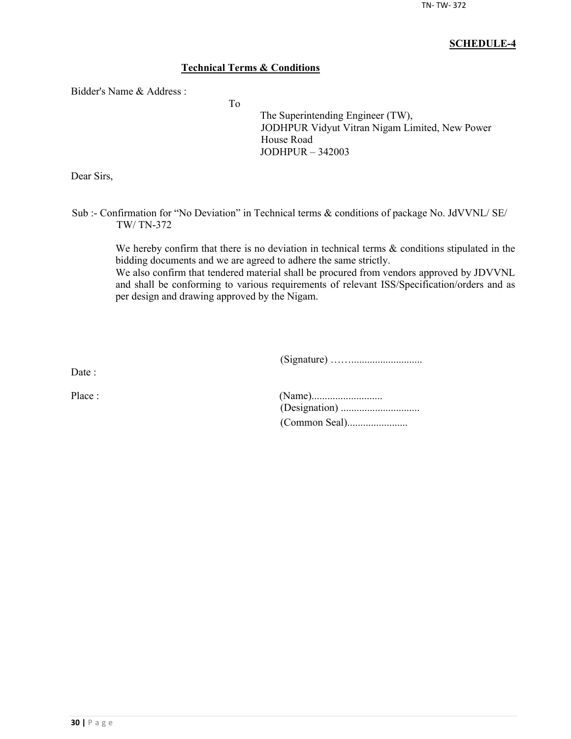## **Technical Terms & Conditions**

To

Bidder's Name & Address :

The Superintending Engineer (TW), JODHPUR Vidyut Vitran Nigam Limited, New Power House Road JODHPUR – 342003

Dear Sirs,

Sub :- Confirmation for "No Deviation" in Technical terms & conditions of package No. JdVVNL/ SE/ TW/ TN-372

We hereby confirm that there is no deviation in technical terms  $\&$  conditions stipulated in the bidding documents and we are agreed to adhere the same strictly.

We also confirm that tendered material shall be procured from vendors approved by JDVVNL and shall be conforming to various requirements of relevant ISS/Specification/orders and as per design and drawing approved by the Nigam.

(Signature) ……...........................

Date :

| Place : |  |
|---------|--|
|         |  |
|         |  |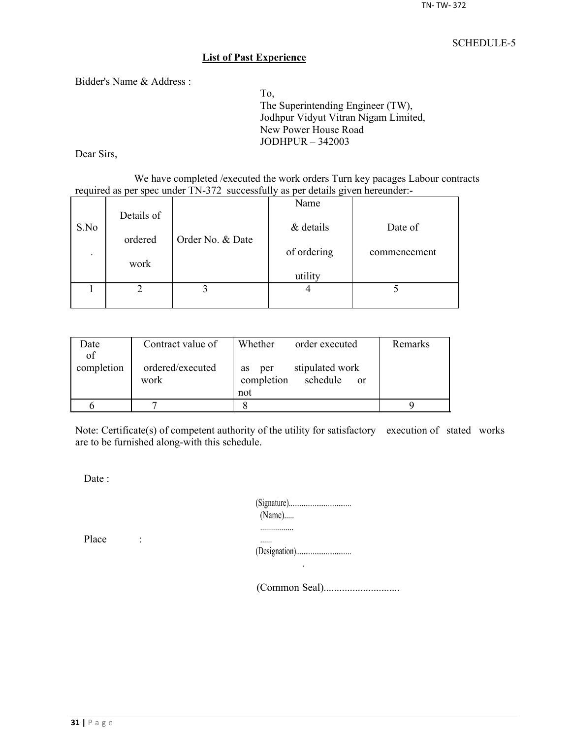#### **List of Past Experience**

Bidder's Name & Address :

To, The Superintending Engineer (TW), Jodhpur Vidyut Vitran Nigam Limited, New Power House Road JODHPUR – 342003

Dear Sirs,

We have completed /executed the work orders Turn key pacages Labour contracts required as per spec under TN-372 successfully as per details given hereunder:-

|                          |            |                  | Name        |              |
|--------------------------|------------|------------------|-------------|--------------|
| S.No                     | Details of |                  | & details   | Date of      |
|                          | ordered    | Order No. & Date |             |              |
| $\overline{\phantom{a}}$ |            |                  | of ordering | commencement |
|                          | work       |                  | utility     |              |
|                          |            |                  |             |              |
|                          |            |                  |             |              |

| Date       | Contract value of        | Whether<br>order executed                                     | Remarks |
|------------|--------------------------|---------------------------------------------------------------|---------|
| of         |                          |                                                               |         |
| completion | ordered/executed<br>work | stipulated work<br>per<br><b>as</b><br>completion<br>schedule |         |
|            |                          | <sub>or</sub><br>not                                          |         |
|            |                          |                                                               |         |
|            |                          |                                                               |         |

Note: Certificate(s) of competent authority of the utility for satisfactory execution of stated works are to be furnished along-with this schedule.

Date :

| $(Name)$ |
|----------|
|          |
|          |

Place :

(Common Seal).............................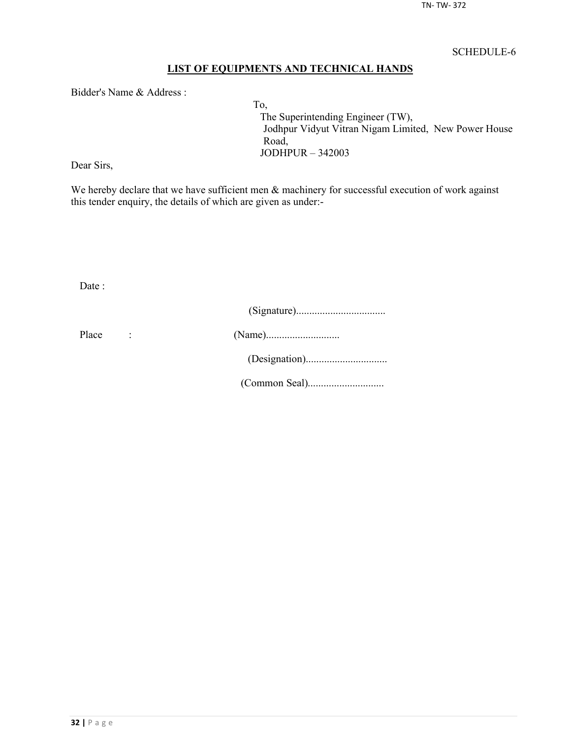## **LIST OF EQUIPMENTS AND TECHNICAL HANDS**

Bidder's Name & Address :

To, The Superintending Engineer (TW), Jodhpur Vidyut Vitran Nigam Limited, New Power House Road, JODHPUR – 342003

Dear Sirs,

We hereby declare that we have sufficient men  $\&$  machinery for successful execution of work against this tender enquiry, the details of which are given as under:-

Date :

| Place |  |
|-------|--|
|       |  |
|       |  |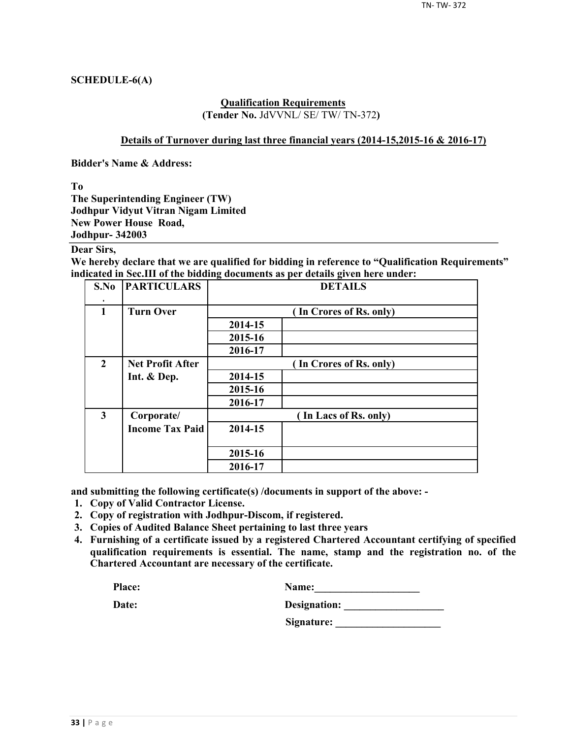### **SCHEDULE-6(A)**

#### **Qualification Requirements (Tender No.** JdVVNL/ SE/ TW/ TN-372**)**

#### **Details of Turnover during last three financial years (2014-15,2015-16 & 2016-17)**

**Bidder's Name & Address:**

**To**

**The Superintending Engineer (TW) Jodhpur Vidyut Vitran Nigam Limited New Power House Road, Jodhpur- 342003**

## **Dear Sirs,**

**We hereby declare that we are qualified for bidding in reference to "Qualification Requirements" indicated in Sec.III of the bidding documents as per details given here under:**

| S.No                    | <b>PARTICULARS</b>      | <b>DETAILS</b> |                         |  |  |  |
|-------------------------|-------------------------|----------------|-------------------------|--|--|--|
| $\mathbf{1}$            | <b>Turn Over</b>        |                | (In Crores of Rs. only) |  |  |  |
|                         |                         | 2014-15        |                         |  |  |  |
|                         |                         | 2015-16        |                         |  |  |  |
|                         |                         | 2016-17        |                         |  |  |  |
| $\overline{2}$          | <b>Net Profit After</b> |                | (In Crores of Rs. only) |  |  |  |
|                         | Int. & Dep.             | 2014-15        |                         |  |  |  |
|                         |                         | 2015-16        |                         |  |  |  |
|                         |                         | 2016-17        |                         |  |  |  |
| $\overline{\mathbf{3}}$ | Corporate/              |                | (In Lacs of Rs. only)   |  |  |  |
|                         | <b>Income Tax Paid</b>  | 2014-15        |                         |  |  |  |
|                         |                         | 2015-16        |                         |  |  |  |
|                         |                         | 2016-17        |                         |  |  |  |

**and submitting the following certificate(s) /documents in support of the above: -**

- **1. Copy of Valid Contractor License.**
- **2. Copy of registration with Jodhpur-Discom, if registered.**
- **3. Copies of Audited Balance Sheet pertaining to last three years**
- **4. Furnishing of a certificate issued by a registered Chartered Accountant certifying of specified qualification requirements is essential. The name, stamp and the registration no. of the Chartered Accountant are necessary of the certificate.**

| Place: | <b>Name:</b> |
|--------|--------------|
|        |              |

| Date: | Designation: |
|-------|--------------|
|       |              |

**Signature: \_\_\_\_\_\_\_\_\_\_\_\_\_\_\_\_\_\_\_\_**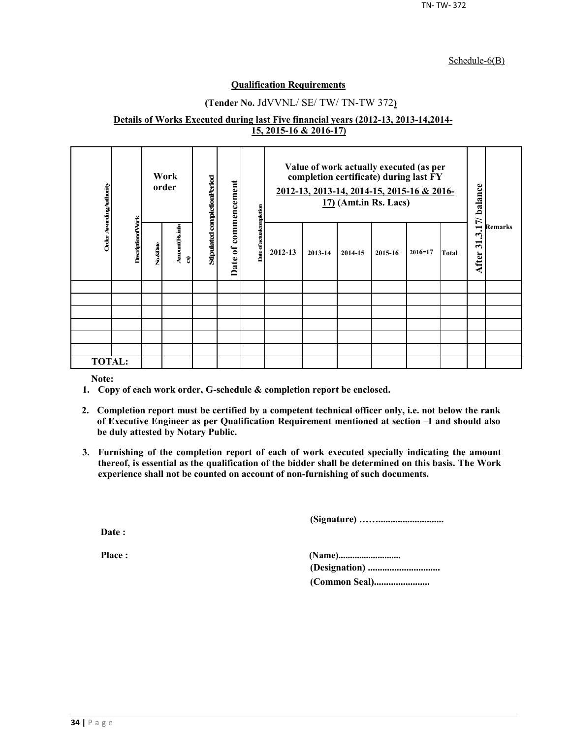#### Schedule-6(B)

#### **Qualification Requirements**

## **(Tender No.** JdVVNL/ SE/ TW/ TN-TW 372**)**

#### **Details of Works Executed during last Five financial years (2012-13, 2013-14,2014- 15, 2015-16 & 2016-17)**

| Order Awarding Authority |                          | Work<br>order |                      | Stipulated completionPeriod | commencement           | ompletion     | Value of work actually executed (as per<br>completion certificate) during last FY<br>2012-13, 2013-14, 2014-15, 2015-16 & 2016-<br>$17$ ) (Amt.in Rs. Lacs) |         |         |         |             |       | 17/ balance                                              | <b>Remarks</b> |
|--------------------------|--------------------------|---------------|----------------------|-----------------------------|------------------------|---------------|-------------------------------------------------------------------------------------------------------------------------------------------------------------|---------|---------|---------|-------------|-------|----------------------------------------------------------|----------------|
|                          | <b>DescriptionofVork</b> | No.&Date      | Amount (Rsimla<br>อิ |                             | $\mathfrak{b}$<br>Date | Date of actua | 2012-13                                                                                                                                                     | 2013-14 | 2014-15 | 2015-16 | $2016 - 17$ | Total | $\dot{\mathcal{L}}$<br>$\overline{\mathbf{5}}$<br>After: |                |
|                          |                          |               |                      |                             |                        |               |                                                                                                                                                             |         |         |         |             |       |                                                          |                |
|                          |                          |               |                      |                             |                        |               |                                                                                                                                                             |         |         |         |             |       |                                                          |                |
|                          |                          |               |                      |                             |                        |               |                                                                                                                                                             |         |         |         |             |       |                                                          |                |
|                          |                          |               |                      |                             |                        |               |                                                                                                                                                             |         |         |         |             |       |                                                          |                |
|                          |                          |               |                      |                             |                        |               |                                                                                                                                                             |         |         |         |             |       |                                                          |                |
|                          |                          |               |                      |                             |                        |               |                                                                                                                                                             |         |         |         |             |       |                                                          |                |
| <b>TOTAL:</b>            |                          |               |                      |                             |                        |               |                                                                                                                                                             |         |         |         |             |       |                                                          |                |

**Note:**

- **1. Copy of each work order, G-schedule & completion report be enclosed.**
- **2. Completion report must be certified by a competent technical officer only, i.e. not below the rank of Executive Engineer as per Qualification Requirement mentioned at section –I and should also be duly attested by Notary Public.**
- **3. Furnishing of the completion report of each of work executed specially indicating the amount thereof, is essential as the qualification of the bidder shall be determined on this basis. The Work experience shall not be counted on account of non-furnishing of such documents.**

**(Signature) ……...........................**

**Date :**

**Place : (Name)........................... (Designation) .............................. (Common Seal).......................**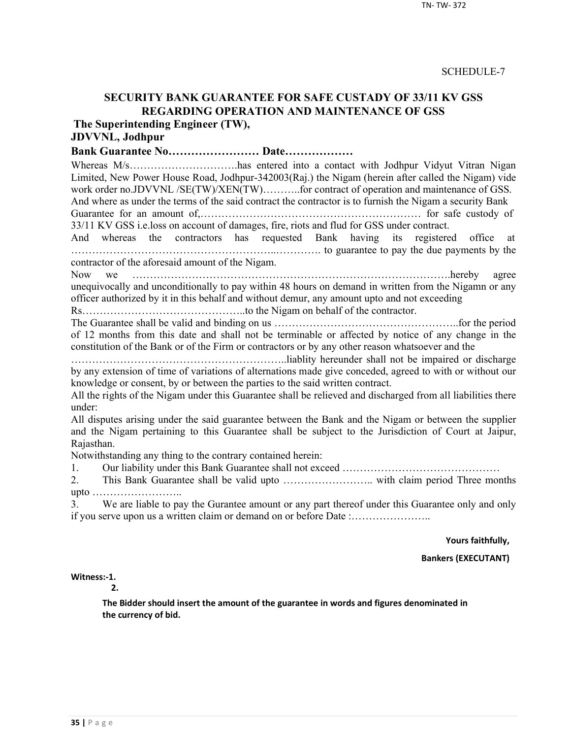# **SECURITY BANK GUARANTEE FOR SAFE CUSTADY OF 33/11 KV GSS REGARDING OPERATION AND MAINTENANCE OF GSS**

**The Superintending Engineer (TW),**

# **JDVVNL, Jodhpur**

**Bank Guarantee No…………………… Date………………**

Whereas M/s…………………………has entered into a contact with Jodhpur Vidyut Vitran Nigan Limited, New Power House Road, Jodhpur-342003(Raj.) the Nigam (herein after called the Nigam) vide work order no.JDVVNL /SE(TW)/XEN(TW)..........for contract of operation and maintenance of GSS. And where as under the terms of the said contract the contractor is to furnish the Nigam a security Bank

Guarantee for an amount of,……………………………………………………… for safe custody of 33/11 KV GSS i.e.loss on account of damages, fire, riots and flud for GSS under contract.

And whereas the contractors has requested Bank having its registered office at …………………………………………………..…………. to guarantee to pay the due payments by the contractor of the aforesaid amount of the Nigam.

Now we ……………………………………………………………………………….hereby agree unequivocally and unconditionally to pay within 48 hours on demand in written from the Nigamn or any officer authorized by it in this behalf and without demur, any amount upto and not exceeding

Rs………………………………………..to the Nigam on behalf of the contractor.

The Guarantee shall be valid and binding on us ……………………………………………..for the period of 12 months from this date and shall not be terminable or affected by notice of any change in the constitution of the Bank or of the Firm or contractors or by any other reason whatsoever and the

……………………………………………………..liablity hereunder shall not be impaired or discharge by any extension of time of variations of alternations made give conceded, agreed to with or without our knowledge or consent, by or between the parties to the said written contract.

All the rights of the Nigam under this Guarantee shall be relieved and discharged from all liabilities there under:

All disputes arising under the said guarantee between the Bank and the Nigam or between the supplier and the Nigam pertaining to this Guarantee shall be subject to the Jurisdiction of Court at Jaipur, Rajasthan.

Notwithstanding any thing to the contrary contained herein:

1. Our liability under this Bank Guarantee shall not exceed ………………………………………

2. This Bank Guarantee shall be valid upto …………………….. with claim period Three months upto ……………………..

3. We are liable to pay the Gurantee amount or any part thereof under this Guarantee only and only if you serve upon us a written claim or demand on or before Date :…………………..

**Yours faithfully,**

**Bankers (EXECUTANT)**

**Witness:-1.** 

**2.**

**The Bidder should insert the amount of the guarantee in words and figures denominated in the currency of bid.**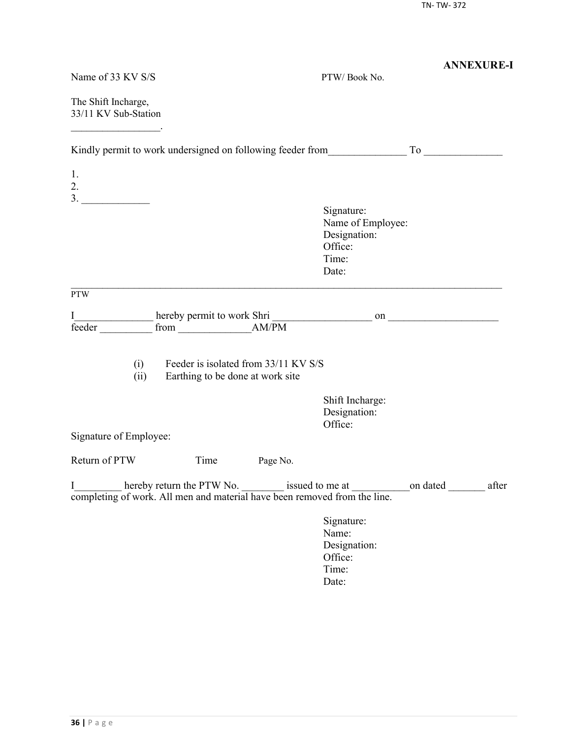|                                                                                |                                                                          |          |                                                                                                     | <b>ANNEXURE-I</b> |
|--------------------------------------------------------------------------------|--------------------------------------------------------------------------|----------|-----------------------------------------------------------------------------------------------------|-------------------|
| Name of 33 KV S/S                                                              |                                                                          |          | PTW/Book No.                                                                                        |                   |
| The Shift Incharge,<br>33/11 KV Sub-Station                                    |                                                                          |          |                                                                                                     |                   |
| Kindly permit to work undersigned on following feeder from To                  |                                                                          |          |                                                                                                     |                   |
| 1.<br>2.                                                                       |                                                                          |          |                                                                                                     |                   |
|                                                                                |                                                                          |          | Signature:<br>Name of Employee:<br>Designation:<br>Office:<br>Time:<br>Date:                        |                   |
| <b>PTW</b>                                                                     |                                                                          |          |                                                                                                     |                   |
| I<br>feeder                                                                    |                                                                          |          |                                                                                                     |                   |
| (i)<br>(ii)                                                                    | Feeder is isolated from 33/11 KV S/S<br>Earthing to be done at work site |          |                                                                                                     |                   |
|                                                                                |                                                                          |          | Shift Incharge:<br>Designation:<br>Office:                                                          |                   |
| Signature of Employee:                                                         |                                                                          |          |                                                                                                     |                   |
| Return of PTW                                                                  | Time                                                                     | Page No. |                                                                                                     |                   |
| I<br>completing of work. All men and material have been removed from the line. |                                                                          |          | hereby return the PTW No. _________ issued to me at _________________on dated _______________ after |                   |
|                                                                                |                                                                          |          | Signature:<br>Name:<br>Designation:<br>Office:<br>Time:<br>Date:                                    |                   |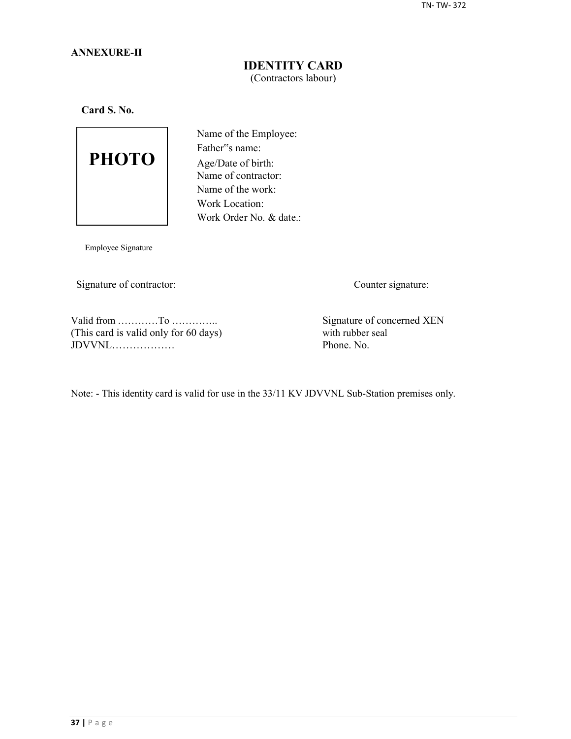## **ANNEXURE-II**

## **IDENTITY CARD** (Contractors labour)

**Card S. No.**



Name of the Employee: Father"s name: Age/Date of birth: Name of contractor: Name of the work: Work Location: Work Order No. & date.:

Employee Signature

Signature of contractor: Counter signature:

Valid from …………To …………..<br>
This card is valid only for 60 days) Signature of concerned XEN<br>
with rubber seal (This card is valid only for 60 days) with rubber seal  $JDVVNL$ 

Note: - This identity card is valid for use in the 33/11 KV JDVVNL Sub-Station premises only.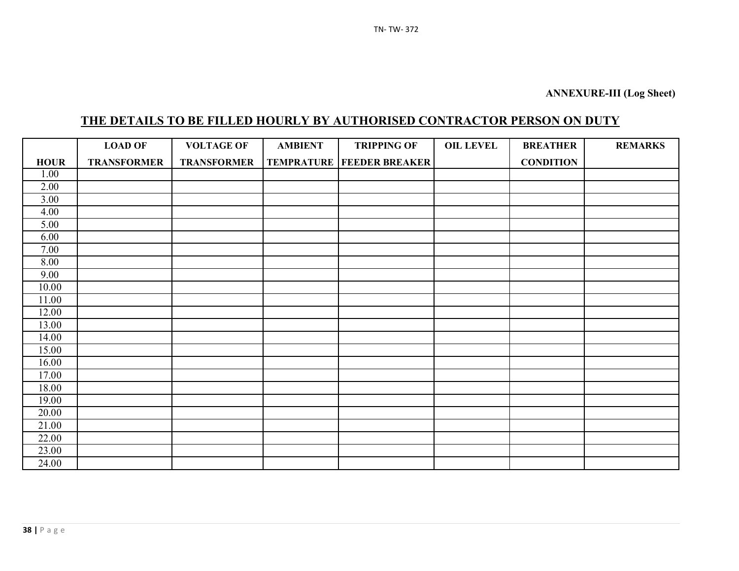# **THE DETAILS TO BE FILLED HOURLY BY AUTHORISED CONTRACTOR PERSON ON DUTY**

|             | <b>LOAD OF</b>     | <b>VOLTAGE OF</b>  | <b>AMBIENT</b> | <b>TRIPPING OF</b>                   | <b>OIL LEVEL</b> | <b>BREATHER</b>  | <b>REMARKS</b> |
|-------------|--------------------|--------------------|----------------|--------------------------------------|------------------|------------------|----------------|
| <b>HOUR</b> | <b>TRANSFORMER</b> | <b>TRANSFORMER</b> |                | <b>TEMPRATURE   FEEDER BREAKER  </b> |                  | <b>CONDITION</b> |                |
| 1.00        |                    |                    |                |                                      |                  |                  |                |
| 2.00        |                    |                    |                |                                      |                  |                  |                |
| 3.00        |                    |                    |                |                                      |                  |                  |                |
| 4.00        |                    |                    |                |                                      |                  |                  |                |
| 5.00        |                    |                    |                |                                      |                  |                  |                |
| 6.00        |                    |                    |                |                                      |                  |                  |                |
| 7.00        |                    |                    |                |                                      |                  |                  |                |
| 8.00        |                    |                    |                |                                      |                  |                  |                |
| 9.00        |                    |                    |                |                                      |                  |                  |                |
| 10.00       |                    |                    |                |                                      |                  |                  |                |
| 11.00       |                    |                    |                |                                      |                  |                  |                |
| 12.00       |                    |                    |                |                                      |                  |                  |                |
| 13.00       |                    |                    |                |                                      |                  |                  |                |
| 14.00       |                    |                    |                |                                      |                  |                  |                |
| 15.00       |                    |                    |                |                                      |                  |                  |                |
| 16.00       |                    |                    |                |                                      |                  |                  |                |
| 17.00       |                    |                    |                |                                      |                  |                  |                |
| 18.00       |                    |                    |                |                                      |                  |                  |                |
| 19.00       |                    |                    |                |                                      |                  |                  |                |
| 20.00       |                    |                    |                |                                      |                  |                  |                |
| 21.00       |                    |                    |                |                                      |                  |                  |                |
| 22.00       |                    |                    |                |                                      |                  |                  |                |
| 23.00       |                    |                    |                |                                      |                  |                  |                |
| 24.00       |                    |                    |                |                                      |                  |                  |                |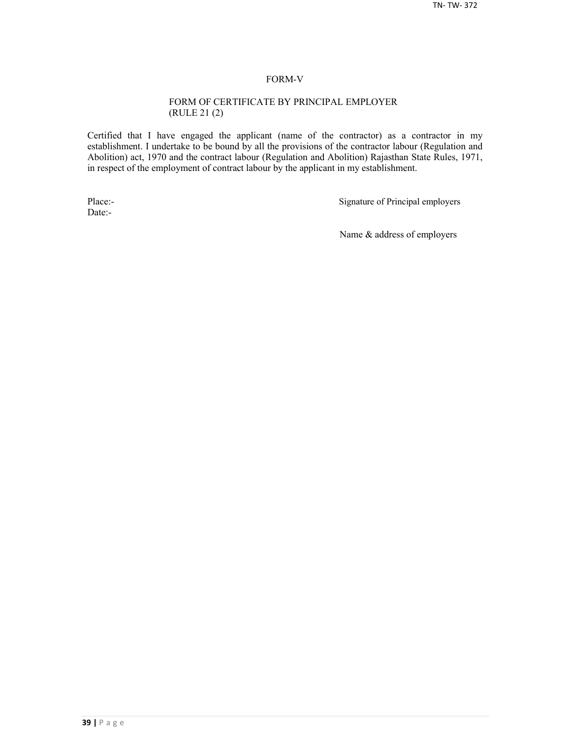#### FORM-V

#### FORM OF CERTIFICATE BY PRINCIPAL EMPLOYER (RULE 21 (2)

Certified that I have engaged the applicant (name of the contractor) as a contractor in my establishment. I undertake to be bound by all the provisions of the contractor labour (Regulation and Abolition) act, 1970 and the contract labour (Regulation and Abolition) Rajasthan State Rules, 1971, in respect of the employment of contract labour by the applicant in my establishment.

Date:-

Place:-<br>
Signature of Principal employers

Name & address of employers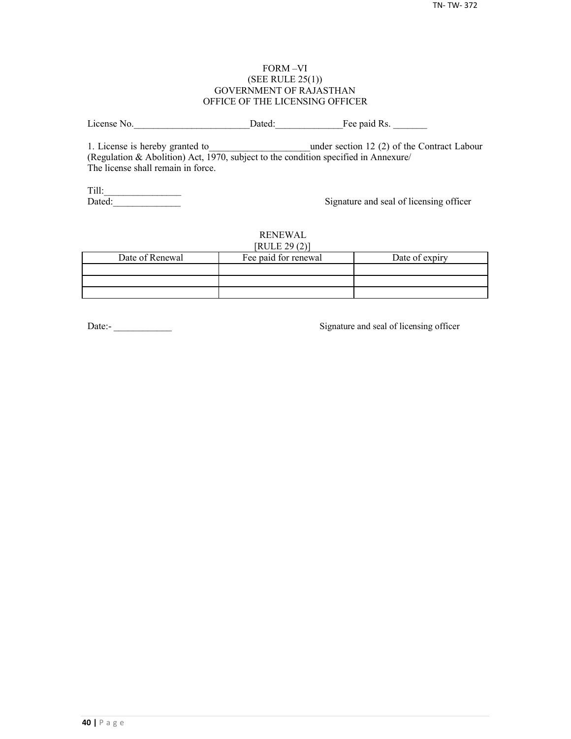#### FORM –VI (SEE RULE 25(1)) GOVERNMENT OF RAJASTHAN OFFICE OF THE LICENSING OFFICER

License No. 2012 Dated: The paid Rs.

1. License is hereby granted to **the under section 12 (2) of the Contract Labour** (Regulation & Abolition) Act, 1970, subject to the condition specified in Annexure/ The license shall remain in force.

Till:\_\_\_\_\_\_\_\_\_\_\_\_\_\_\_\_

Signature and seal of licensing officer

#### RENEWAL  $[PHH]$   $[20(2)]$

| NULLZJ(Z)       |                      |                |  |  |  |  |
|-----------------|----------------------|----------------|--|--|--|--|
| Date of Renewal | Fee paid for renewal | Date of expiry |  |  |  |  |
|                 |                      |                |  |  |  |  |
|                 |                      |                |  |  |  |  |
|                 |                      |                |  |  |  |  |

Date:-<br>
Signature and seal of licensing officer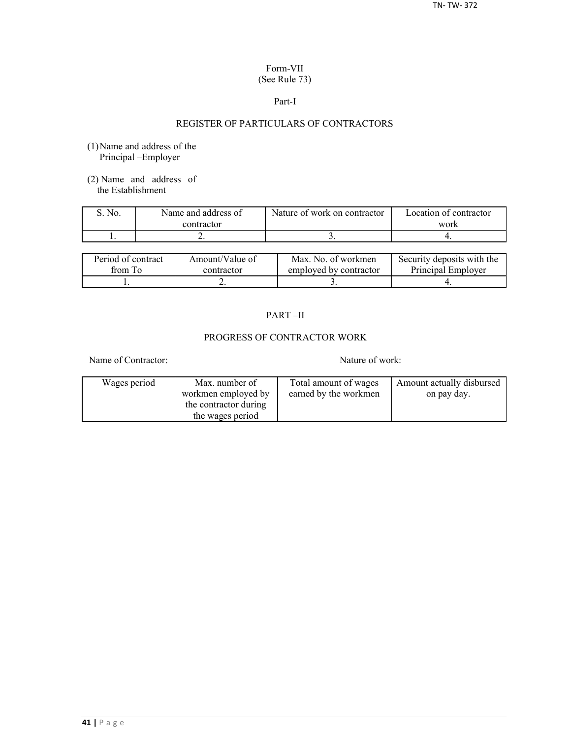### Form-VII (See Rule 73)

#### Part-I

## REGISTER OF PARTICULARS OF CONTRACTORS

- (1)Name and address of the Principal –Employer
- (2) Name and address of the Establishment

| No. | Name and address of | Nature of work on contractor | Location of contractor |
|-----|---------------------|------------------------------|------------------------|
|     | contractor          |                              | work                   |
|     | . .                 |                              |                        |

| Period of contract | Amount/Value of | Max. No. of workmen    | Security deposits with the |
|--------------------|-----------------|------------------------|----------------------------|
| from To            | contractor      | employed by contractor | Principal Employer         |
|                    | ∸               |                        |                            |

## PART –II

## PROGRESS OF CONTRACTOR WORK

Name of Contractor: Nature of work:

| Wages period | Max. number of        | Total amount of wages | Amount actually disbursed |
|--------------|-----------------------|-----------------------|---------------------------|
|              | workmen employed by   | earned by the workmen | on pay day.               |
|              | the contractor during |                       |                           |
|              | the wages period      |                       |                           |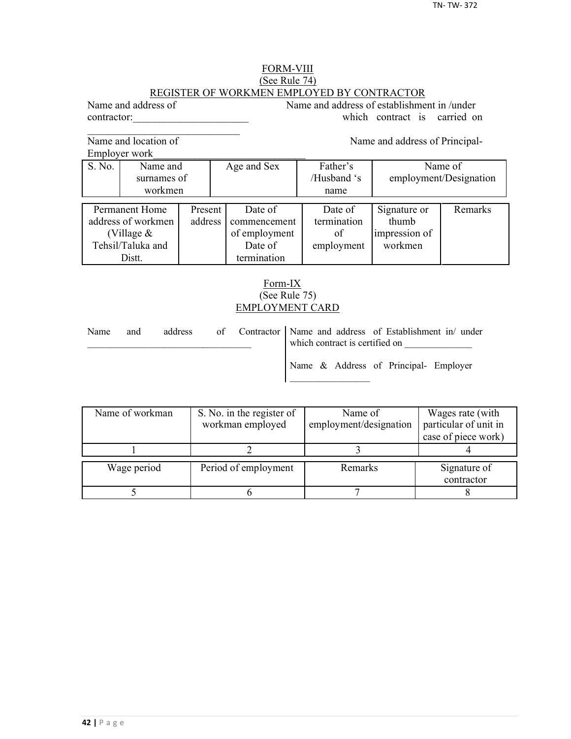## FORM-VIII (See Rule 74) REGISTER OF WORKMEN EMPLOYED BY CONTRACTOR

Name and address of Name and address of establishment in /under contractor: which contract is carried on

Name and location of Name and address of Principal-

 $\mathcal{L}_\text{max}$ 

Employer work\_\_\_\_\_\_\_\_\_\_\_\_\_\_\_\_\_\_\_\_\_\_\_\_\_\_\_\_\_

|                    | EIIIDIOVEI WOIK |         |               |             |                        |         |
|--------------------|-----------------|---------|---------------|-------------|------------------------|---------|
| S. No.             | Name and        |         | Age and Sex   | Father's    | Name of                |         |
|                    | surnames of     |         |               | /Husband 's | employment/Designation |         |
|                    | workmen         |         |               | name        |                        |         |
|                    |                 |         |               |             |                        |         |
|                    | Permanent Home  | Present | Date of       | Date of     | Signature or           | Remarks |
| address of workmen |                 | address | commencement  | termination | thumb                  |         |
| (Village $&$       |                 |         | of employment | of          | impression of          |         |
| Tehsil/Taluka and  |                 |         | Date of       | employment  | workmen                |         |
| Distt.             |                 |         | termination   |             |                        |         |

## Form-IX (See Rule 75) EMPLOYMENT CARD

| Name | and | address |  | of Contractor   Name and address of Establishment in/ under<br>which contract is certified on |                                       |  |
|------|-----|---------|--|-----------------------------------------------------------------------------------------------|---------------------------------------|--|
|      |     |         |  |                                                                                               | Name & Address of Principal- Employer |  |

| Name of workman | S. No. in the register of | Name of                | Wages rate (with      |
|-----------------|---------------------------|------------------------|-----------------------|
|                 | workman employed          | employment/designation | particular of unit in |
|                 |                           |                        | case of piece work)   |
|                 |                           |                        |                       |
| Wage period     | Period of employment      | Remarks                | Signature of          |
|                 |                           |                        | contractor            |
|                 |                           |                        |                       |
|                 |                           |                        |                       |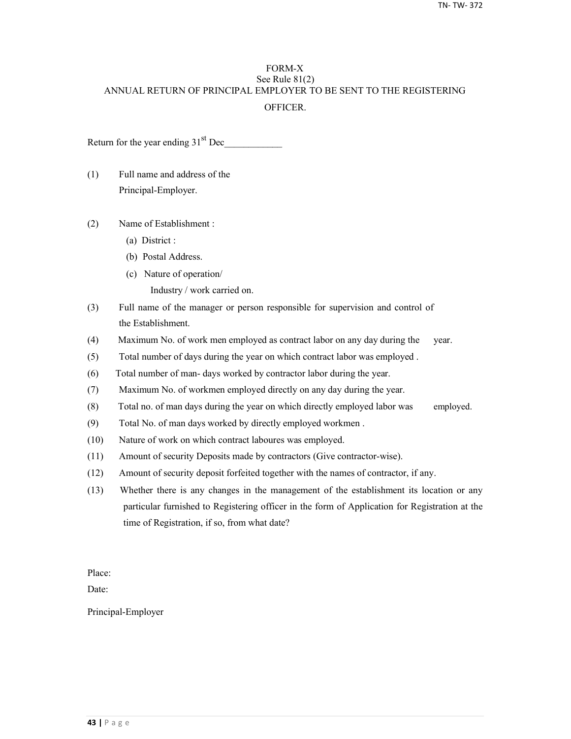## FORM-X See Rule 81(2) ANNUAL RETURN OF PRINCIPAL EMPLOYER TO BE SENT TO THE REGISTERING **OFFICER**

Return for the year ending  $31<sup>st</sup>$  Dec

- (1) Full name and address of the Principal-Employer.
- (2) Name of Establishment :
	- (a) District :
	- (b) Postal Address.
	- (c) Nature of operation/
		- Industry / work carried on.
- (3) Full name of the manager or person responsible for supervision and control of the Establishment.
- (4) Maximum No. of work men employed as contract labor on any day during the year.
- (5) Total number of days during the year on which contract labor was employed .
- (6) Total number of man- days worked by contractor labor during the year.
- (7) Maximum No. of workmen employed directly on any day during the year.
- (8) Total no. of man days during the year on which directly employed labor was employed.
- (9) Total No. of man days worked by directly employed workmen .
- (10) Nature of work on which contract laboures was employed.
- (11) Amount of security Deposits made by contractors (Give contractor-wise).
- (12) Amount of security deposit forfeited together with the names of contractor, if any.
- (13) Whether there is any changes in the management of the establishment its location or any particular furnished to Registering officer in the form of Application for Registration at the time of Registration, if so, from what date?

Place:

Date:

Principal-Employer